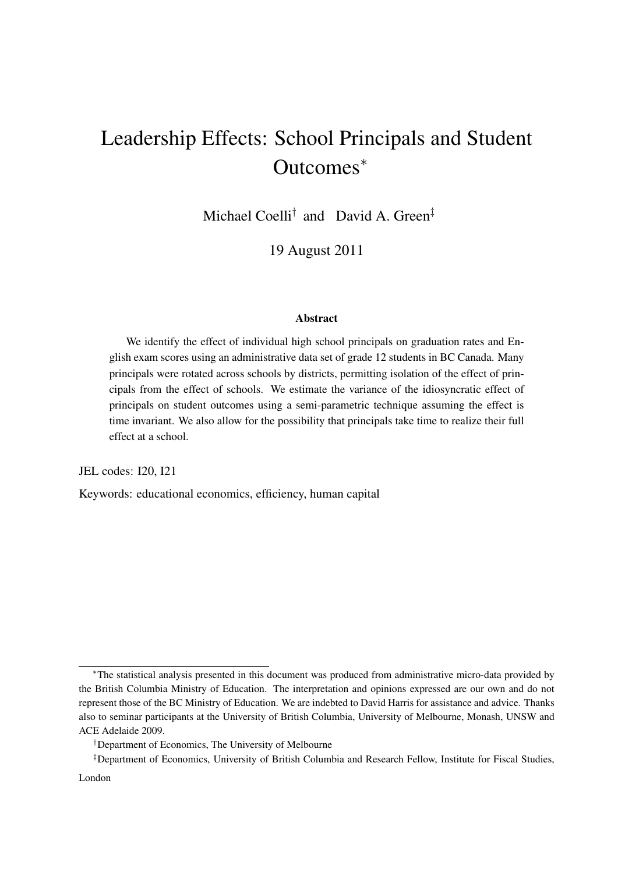# Leadership Effects: School Principals and Student Outcomes*<sup>∗</sup>*

Michael Coelli*†* and David A. Green*‡*

19 August 2011

#### Abstract

We identify the effect of individual high school principals on graduation rates and English exam scores using an administrative data set of grade 12 students in BC Canada. Many principals were rotated across schools by districts, permitting isolation of the effect of principals from the effect of schools. We estimate the variance of the idiosyncratic effect of principals on student outcomes using a semi-parametric technique assuming the effect is time invariant. We also allow for the possibility that principals take time to realize their full effect at a school.

JEL codes: I20, I21

Keywords: educational economics, efficiency, human capital

*<sup>∗</sup>*The statistical analysis presented in this document was produced from administrative micro-data provided by the British Columbia Ministry of Education. The interpretation and opinions expressed are our own and do not represent those of the BC Ministry of Education. We are indebted to David Harris for assistance and advice. Thanks also to seminar participants at the University of British Columbia, University of Melbourne, Monash, UNSW and ACE Adelaide 2009.

*<sup>†</sup>*Department of Economics, The University of Melbourne

*<sup>‡</sup>*Department of Economics, University of British Columbia and Research Fellow, Institute for Fiscal Studies, London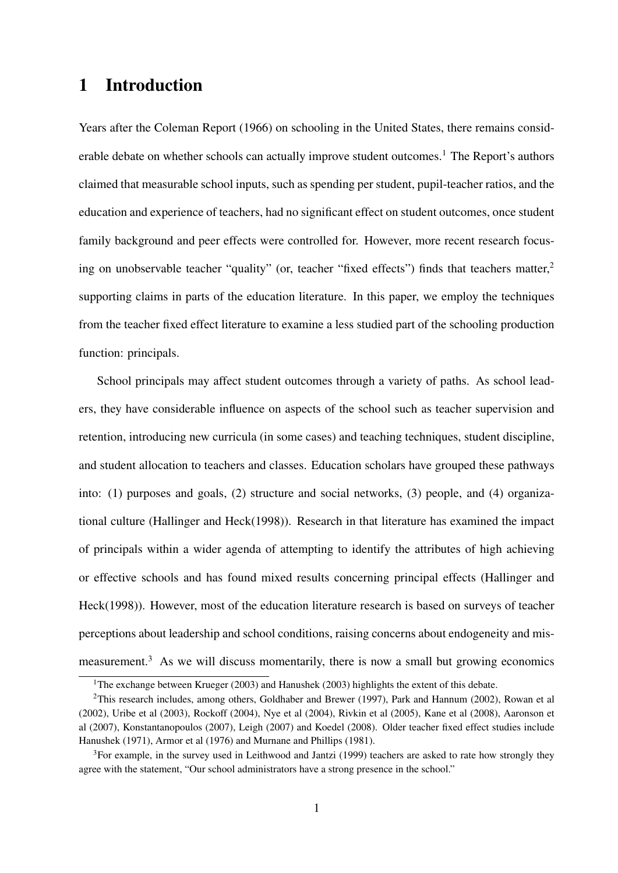# 1 Introduction

Years after the Coleman Report (1966) on schooling in the United States, there remains considerable debate on whether schools can actually improve student outcomes.<sup>1</sup> The Report's authors claimed that measurable school inputs, such as spending per student, pupil-teacher ratios, and the education and experience of teachers, had no significant effect on student outcomes, once student family background and peer effects were controlled for. However, more recent research focusing on unobservable teacher "quality" (or, teacher "fixed effects") finds that teachers matter,<sup>2</sup> supporting claims in parts of the education literature. In this paper, we employ the techniques from the teacher fixed effect literature to examine a less studied part of the schooling production function: principals.

School principals may affect student outcomes through a variety of paths. As school leaders, they have considerable influence on aspects of the school such as teacher supervision and retention, introducing new curricula (in some cases) and teaching techniques, student discipline, and student allocation to teachers and classes. Education scholars have grouped these pathways into: (1) purposes and goals, (2) structure and social networks, (3) people, and (4) organizational culture (Hallinger and Heck(1998)). Research in that literature has examined the impact of principals within a wider agenda of attempting to identify the attributes of high achieving or effective schools and has found mixed results concerning principal effects (Hallinger and Heck(1998)). However, most of the education literature research is based on surveys of teacher perceptions about leadership and school conditions, raising concerns about endogeneity and mismeasurement.<sup>3</sup> As we will discuss momentarily, there is now a small but growing economics

<sup>&</sup>lt;sup>1</sup>The exchange between Krueger (2003) and Hanushek (2003) highlights the extent of this debate.

<sup>2</sup>This research includes, among others, Goldhaber and Brewer (1997), Park and Hannum (2002), Rowan et al (2002), Uribe et al (2003), Rockoff (2004), Nye et al (2004), Rivkin et al (2005), Kane et al (2008), Aaronson et al (2007), Konstantanopoulos (2007), Leigh (2007) and Koedel (2008). Older teacher fixed effect studies include Hanushek (1971), Armor et al (1976) and Murnane and Phillips (1981).

<sup>&</sup>lt;sup>3</sup>For example, in the survey used in Leithwood and Jantzi (1999) teachers are asked to rate how strongly they agree with the statement, "Our school administrators have a strong presence in the school."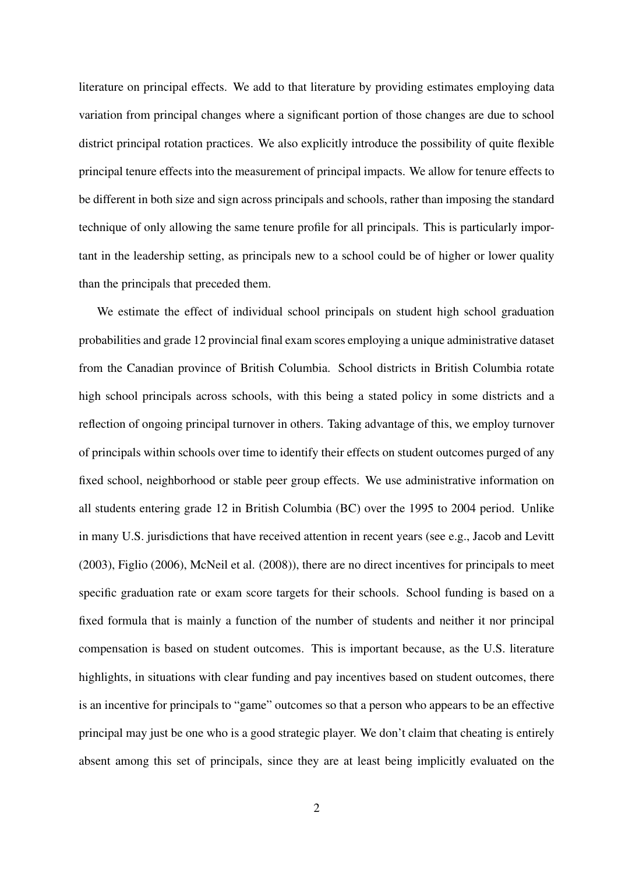literature on principal effects. We add to that literature by providing estimates employing data variation from principal changes where a significant portion of those changes are due to school district principal rotation practices. We also explicitly introduce the possibility of quite flexible principal tenure effects into the measurement of principal impacts. We allow for tenure effects to be different in both size and sign across principals and schools, rather than imposing the standard technique of only allowing the same tenure profile for all principals. This is particularly important in the leadership setting, as principals new to a school could be of higher or lower quality than the principals that preceded them.

We estimate the effect of individual school principals on student high school graduation probabilities and grade 12 provincial final exam scores employing a unique administrative dataset from the Canadian province of British Columbia. School districts in British Columbia rotate high school principals across schools, with this being a stated policy in some districts and a reflection of ongoing principal turnover in others. Taking advantage of this, we employ turnover of principals within schools over time to identify their effects on student outcomes purged of any fixed school, neighborhood or stable peer group effects. We use administrative information on all students entering grade 12 in British Columbia (BC) over the 1995 to 2004 period. Unlike in many U.S. jurisdictions that have received attention in recent years (see e.g., Jacob and Levitt (2003), Figlio (2006), McNeil et al. (2008)), there are no direct incentives for principals to meet specific graduation rate or exam score targets for their schools. School funding is based on a fixed formula that is mainly a function of the number of students and neither it nor principal compensation is based on student outcomes. This is important because, as the U.S. literature highlights, in situations with clear funding and pay incentives based on student outcomes, there is an incentive for principals to "game" outcomes so that a person who appears to be an effective principal may just be one who is a good strategic player. We don't claim that cheating is entirely absent among this set of principals, since they are at least being implicitly evaluated on the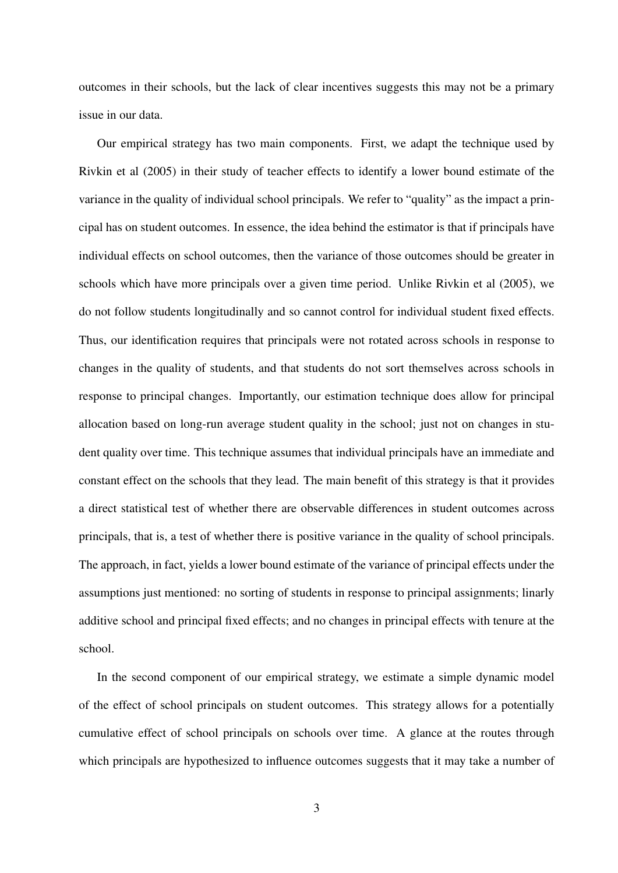outcomes in their schools, but the lack of clear incentives suggests this may not be a primary issue in our data.

Our empirical strategy has two main components. First, we adapt the technique used by Rivkin et al (2005) in their study of teacher effects to identify a lower bound estimate of the variance in the quality of individual school principals. We refer to "quality" as the impact a principal has on student outcomes. In essence, the idea behind the estimator is that if principals have individual effects on school outcomes, then the variance of those outcomes should be greater in schools which have more principals over a given time period. Unlike Rivkin et al (2005), we do not follow students longitudinally and so cannot control for individual student fixed effects. Thus, our identification requires that principals were not rotated across schools in response to changes in the quality of students, and that students do not sort themselves across schools in response to principal changes. Importantly, our estimation technique does allow for principal allocation based on long-run average student quality in the school; just not on changes in student quality over time. This technique assumes that individual principals have an immediate and constant effect on the schools that they lead. The main benefit of this strategy is that it provides a direct statistical test of whether there are observable differences in student outcomes across principals, that is, a test of whether there is positive variance in the quality of school principals. The approach, in fact, yields a lower bound estimate of the variance of principal effects under the assumptions just mentioned: no sorting of students in response to principal assignments; linarly additive school and principal fixed effects; and no changes in principal effects with tenure at the school.

In the second component of our empirical strategy, we estimate a simple dynamic model of the effect of school principals on student outcomes. This strategy allows for a potentially cumulative effect of school principals on schools over time. A glance at the routes through which principals are hypothesized to influence outcomes suggests that it may take a number of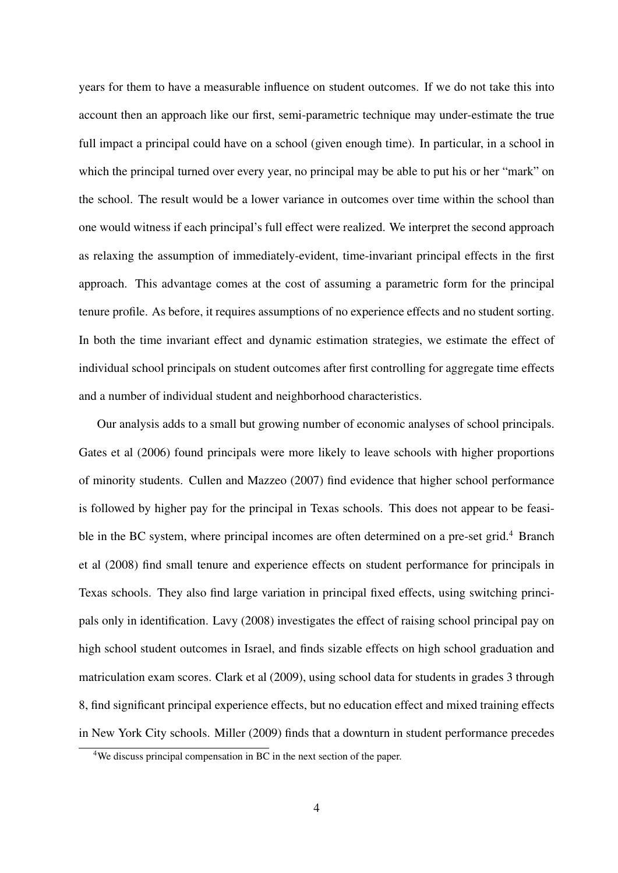years for them to have a measurable influence on student outcomes. If we do not take this into account then an approach like our first, semi-parametric technique may under-estimate the true full impact a principal could have on a school (given enough time). In particular, in a school in which the principal turned over every year, no principal may be able to put his or her "mark" on the school. The result would be a lower variance in outcomes over time within the school than one would witness if each principal's full effect were realized. We interpret the second approach as relaxing the assumption of immediately-evident, time-invariant principal effects in the first approach. This advantage comes at the cost of assuming a parametric form for the principal tenure profile. As before, it requires assumptions of no experience effects and no student sorting. In both the time invariant effect and dynamic estimation strategies, we estimate the effect of individual school principals on student outcomes after first controlling for aggregate time effects and a number of individual student and neighborhood characteristics.

Our analysis adds to a small but growing number of economic analyses of school principals. Gates et al (2006) found principals were more likely to leave schools with higher proportions of minority students. Cullen and Mazzeo (2007) find evidence that higher school performance is followed by higher pay for the principal in Texas schools. This does not appear to be feasible in the BC system, where principal incomes are often determined on a pre-set grid.<sup>4</sup> Branch et al (2008) find small tenure and experience effects on student performance for principals in Texas schools. They also find large variation in principal fixed effects, using switching principals only in identification. Lavy (2008) investigates the effect of raising school principal pay on high school student outcomes in Israel, and finds sizable effects on high school graduation and matriculation exam scores. Clark et al (2009), using school data for students in grades 3 through 8, find significant principal experience effects, but no education effect and mixed training effects in New York City schools. Miller (2009) finds that a downturn in student performance precedes

<sup>&</sup>lt;sup>4</sup>We discuss principal compensation in BC in the next section of the paper.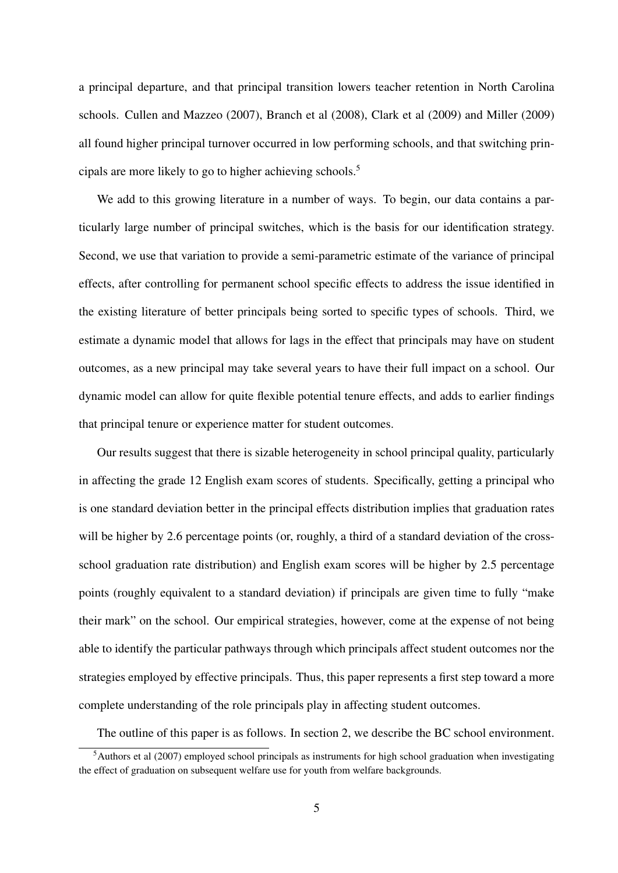a principal departure, and that principal transition lowers teacher retention in North Carolina schools. Cullen and Mazzeo (2007), Branch et al (2008), Clark et al (2009) and Miller (2009) all found higher principal turnover occurred in low performing schools, and that switching principals are more likely to go to higher achieving schools.<sup>5</sup>

We add to this growing literature in a number of ways. To begin, our data contains a particularly large number of principal switches, which is the basis for our identification strategy. Second, we use that variation to provide a semi-parametric estimate of the variance of principal effects, after controlling for permanent school specific effects to address the issue identified in the existing literature of better principals being sorted to specific types of schools. Third, we estimate a dynamic model that allows for lags in the effect that principals may have on student outcomes, as a new principal may take several years to have their full impact on a school. Our dynamic model can allow for quite flexible potential tenure effects, and adds to earlier findings that principal tenure or experience matter for student outcomes.

Our results suggest that there is sizable heterogeneity in school principal quality, particularly in affecting the grade 12 English exam scores of students. Specifically, getting a principal who is one standard deviation better in the principal effects distribution implies that graduation rates will be higher by 2.6 percentage points (or, roughly, a third of a standard deviation of the crossschool graduation rate distribution) and English exam scores will be higher by 2.5 percentage points (roughly equivalent to a standard deviation) if principals are given time to fully "make their mark" on the school. Our empirical strategies, however, come at the expense of not being able to identify the particular pathways through which principals affect student outcomes nor the strategies employed by effective principals. Thus, this paper represents a first step toward a more complete understanding of the role principals play in affecting student outcomes.

The outline of this paper is as follows. In section 2, we describe the BC school environment.

 $<sup>5</sup>$ Authors et al (2007) employed school principals as instruments for high school graduation when investigating</sup> the effect of graduation on subsequent welfare use for youth from welfare backgrounds.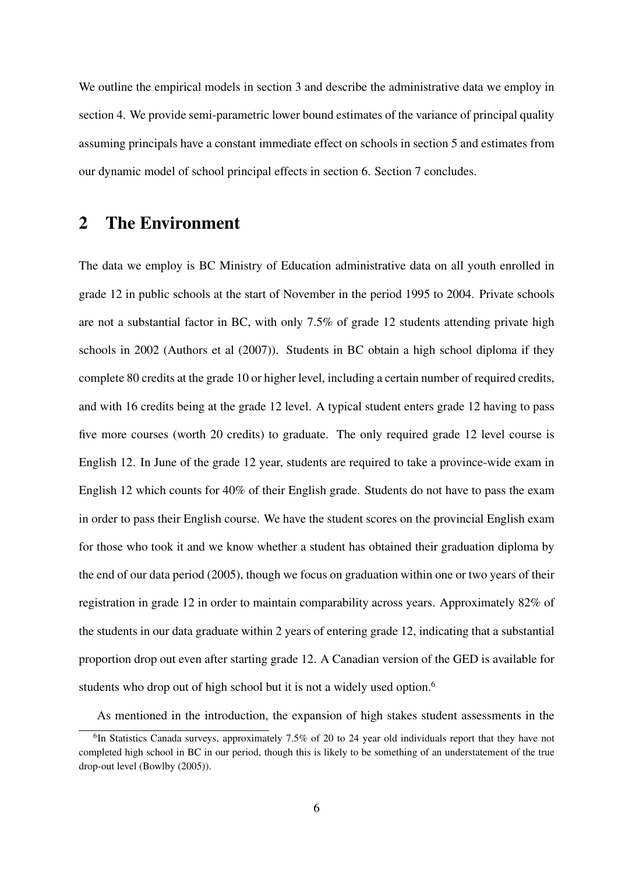We outline the empirical models in section 3 and describe the administrative data we employ in section 4. We provide semi-parametric lower bound estimates of the variance of principal quality assuming principals have a constant immediate effect on schools in section 5 and estimates from our dynamic model of school principal effects in section 6. Section 7 concludes.

# 2 The Environment

The data we employ is BC Ministry of Education administrative data on all youth enrolled in grade 12 in public schools at the start of November in the period 1995 to 2004. Private schools are not a substantial factor in BC, with only 7.5% of grade 12 students attending private high schools in 2002 (Authors et al (2007)). Students in BC obtain a high school diploma if they complete 80 credits at the grade 10 or higher level, including a certain number of required credits, and with 16 credits being at the grade 12 level. A typical student enters grade 12 having to pass five more courses (worth 20 credits) to graduate. The only required grade 12 level course is English 12. In June of the grade 12 year, students are required to take a province-wide exam in English 12 which counts for 40% of their English grade. Students do not have to pass the exam in order to pass their English course. We have the student scores on the provincial English exam for those who took it and we know whether a student has obtained their graduation diploma by the end of our data period (2005), though we focus on graduation within one or two years of their registration in grade 12 in order to maintain comparability across years. Approximately 82% of the students in our data graduate within 2 years of entering grade 12, indicating that a substantial proportion drop out even after starting grade 12. A Canadian version of the GED is available for students who drop out of high school but it is not a widely used option.<sup>6</sup>

As mentioned in the introduction, the expansion of high stakes student assessments in the

<sup>&</sup>lt;sup>6</sup>In Statistics Canada surveys, approximately 7.5% of 20 to 24 year old individuals report that they have not completed high school in BC in our period, though this is likely to be something of an understatement of the true drop-out level (Bowlby (2005)).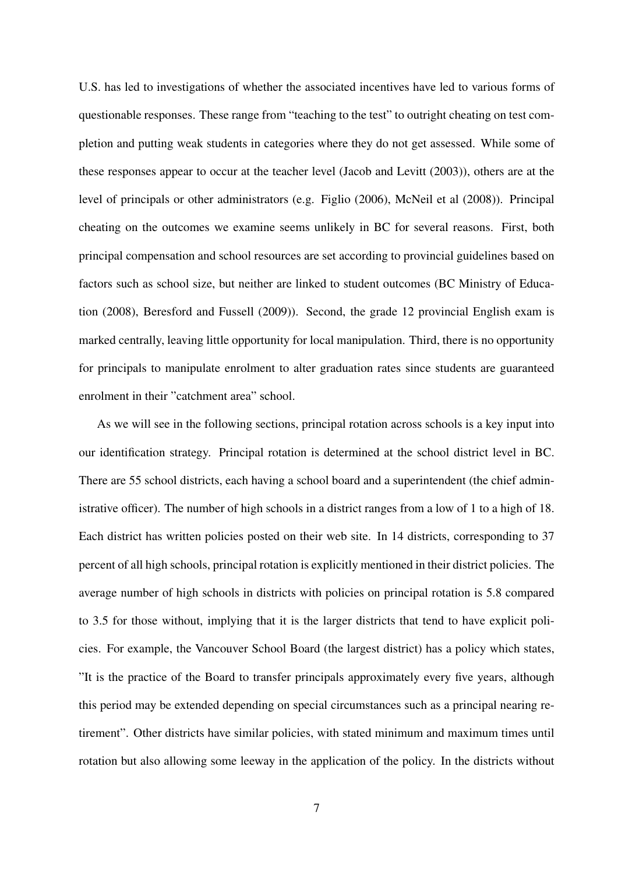U.S. has led to investigations of whether the associated incentives have led to various forms of questionable responses. These range from "teaching to the test" to outright cheating on test completion and putting weak students in categories where they do not get assessed. While some of these responses appear to occur at the teacher level (Jacob and Levitt (2003)), others are at the level of principals or other administrators (e.g. Figlio (2006), McNeil et al (2008)). Principal cheating on the outcomes we examine seems unlikely in BC for several reasons. First, both principal compensation and school resources are set according to provincial guidelines based on factors such as school size, but neither are linked to student outcomes (BC Ministry of Education (2008), Beresford and Fussell (2009)). Second, the grade 12 provincial English exam is marked centrally, leaving little opportunity for local manipulation. Third, there is no opportunity for principals to manipulate enrolment to alter graduation rates since students are guaranteed enrolment in their "catchment area" school.

As we will see in the following sections, principal rotation across schools is a key input into our identification strategy. Principal rotation is determined at the school district level in BC. There are 55 school districts, each having a school board and a superintendent (the chief administrative officer). The number of high schools in a district ranges from a low of 1 to a high of 18. Each district has written policies posted on their web site. In 14 districts, corresponding to 37 percent of all high schools, principal rotation is explicitly mentioned in their district policies. The average number of high schools in districts with policies on principal rotation is 5.8 compared to 3.5 for those without, implying that it is the larger districts that tend to have explicit policies. For example, the Vancouver School Board (the largest district) has a policy which states, "It is the practice of the Board to transfer principals approximately every five years, although this period may be extended depending on special circumstances such as a principal nearing retirement". Other districts have similar policies, with stated minimum and maximum times until rotation but also allowing some leeway in the application of the policy. In the districts without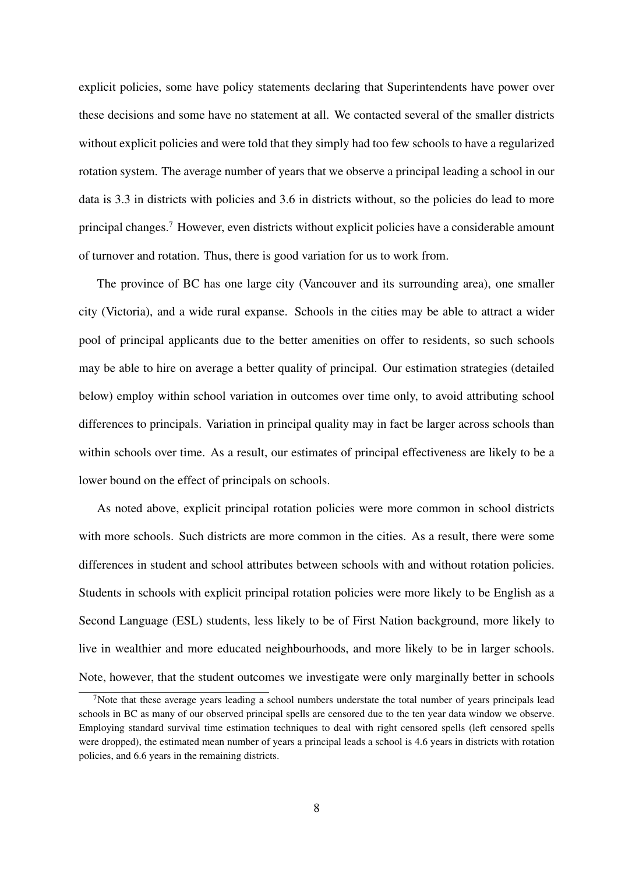explicit policies, some have policy statements declaring that Superintendents have power over these decisions and some have no statement at all. We contacted several of the smaller districts without explicit policies and were told that they simply had too few schools to have a regularized rotation system. The average number of years that we observe a principal leading a school in our data is 3.3 in districts with policies and 3.6 in districts without, so the policies do lead to more principal changes.<sup>7</sup> However, even districts without explicit policies have a considerable amount of turnover and rotation. Thus, there is good variation for us to work from.

The province of BC has one large city (Vancouver and its surrounding area), one smaller city (Victoria), and a wide rural expanse. Schools in the cities may be able to attract a wider pool of principal applicants due to the better amenities on offer to residents, so such schools may be able to hire on average a better quality of principal. Our estimation strategies (detailed below) employ within school variation in outcomes over time only, to avoid attributing school differences to principals. Variation in principal quality may in fact be larger across schools than within schools over time. As a result, our estimates of principal effectiveness are likely to be a lower bound on the effect of principals on schools.

As noted above, explicit principal rotation policies were more common in school districts with more schools. Such districts are more common in the cities. As a result, there were some differences in student and school attributes between schools with and without rotation policies. Students in schools with explicit principal rotation policies were more likely to be English as a Second Language (ESL) students, less likely to be of First Nation background, more likely to live in wealthier and more educated neighbourhoods, and more likely to be in larger schools. Note, however, that the student outcomes we investigate were only marginally better in schools

<sup>&</sup>lt;sup>7</sup>Note that these average years leading a school numbers understate the total number of years principals lead schools in BC as many of our observed principal spells are censored due to the ten year data window we observe. Employing standard survival time estimation techniques to deal with right censored spells (left censored spells were dropped), the estimated mean number of years a principal leads a school is 4.6 years in districts with rotation policies, and 6.6 years in the remaining districts.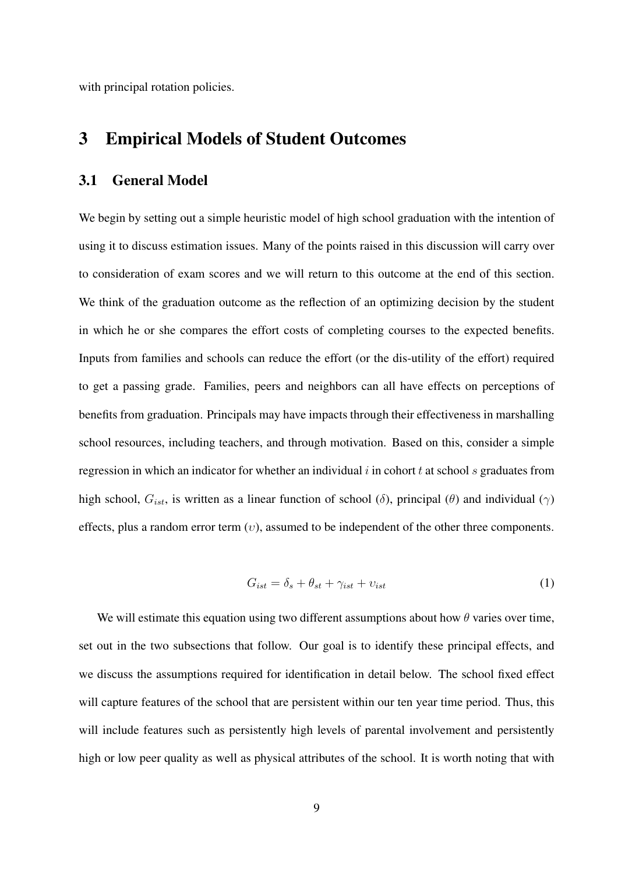with principal rotation policies.

# 3 Empirical Models of Student Outcomes

#### 3.1 General Model

We begin by setting out a simple heuristic model of high school graduation with the intention of using it to discuss estimation issues. Many of the points raised in this discussion will carry over to consideration of exam scores and we will return to this outcome at the end of this section. We think of the graduation outcome as the reflection of an optimizing decision by the student in which he or she compares the effort costs of completing courses to the expected benefits. Inputs from families and schools can reduce the effort (or the dis-utility of the effort) required to get a passing grade. Families, peers and neighbors can all have effects on perceptions of benefits from graduation. Principals may have impacts through their effectiveness in marshalling school resources, including teachers, and through motivation. Based on this, consider a simple regression in which an indicator for whether an individual *i* in cohort *t* at school *s* graduates from high school, *Gist*, is written as a linear function of school (*δ*), principal (*θ*) and individual (*γ*) effects, plus a random error term (*υ*), assumed to be independent of the other three components.

$$
G_{ist} = \delta_s + \theta_{st} + \gamma_{ist} + \upsilon_{ist} \tag{1}
$$

We will estimate this equation using two different assumptions about how  $\theta$  varies over time, set out in the two subsections that follow. Our goal is to identify these principal effects, and we discuss the assumptions required for identification in detail below. The school fixed effect will capture features of the school that are persistent within our ten year time period. Thus, this will include features such as persistently high levels of parental involvement and persistently high or low peer quality as well as physical attributes of the school. It is worth noting that with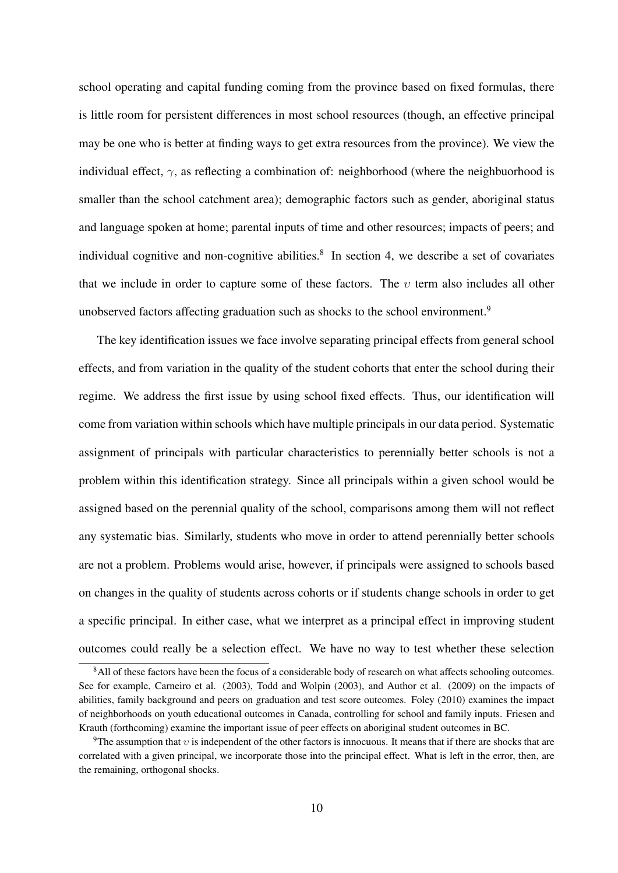school operating and capital funding coming from the province based on fixed formulas, there is little room for persistent differences in most school resources (though, an effective principal may be one who is better at finding ways to get extra resources from the province). We view the individual effect,  $\gamma$ , as reflecting a combination of: neighborhood (where the neighbuorhood is smaller than the school catchment area); demographic factors such as gender, aboriginal status and language spoken at home; parental inputs of time and other resources; impacts of peers; and individual cognitive and non-cognitive abilities.<sup>8</sup> In section 4, we describe a set of covariates that we include in order to capture some of these factors. The *υ* term also includes all other unobserved factors affecting graduation such as shocks to the school environment.<sup>9</sup>

The key identification issues we face involve separating principal effects from general school effects, and from variation in the quality of the student cohorts that enter the school during their regime. We address the first issue by using school fixed effects. Thus, our identification will come from variation within schools which have multiple principals in our data period. Systematic assignment of principals with particular characteristics to perennially better schools is not a problem within this identification strategy. Since all principals within a given school would be assigned based on the perennial quality of the school, comparisons among them will not reflect any systematic bias. Similarly, students who move in order to attend perennially better schools are not a problem. Problems would arise, however, if principals were assigned to schools based on changes in the quality of students across cohorts or if students change schools in order to get a specific principal. In either case, what we interpret as a principal effect in improving student outcomes could really be a selection effect. We have no way to test whether these selection

<sup>&</sup>lt;sup>8</sup>All of these factors have been the focus of a considerable body of research on what affects schooling outcomes. See for example, Carneiro et al. (2003), Todd and Wolpin (2003), and Author et al. (2009) on the impacts of abilities, family background and peers on graduation and test score outcomes. Foley (2010) examines the impact of neighborhoods on youth educational outcomes in Canada, controlling for school and family inputs. Friesen and Krauth (forthcoming) examine the important issue of peer effects on aboriginal student outcomes in BC.

<sup>9</sup>The assumption that *υ* is independent of the other factors is innocuous. It means that if there are shocks that are correlated with a given principal, we incorporate those into the principal effect. What is left in the error, then, are the remaining, orthogonal shocks.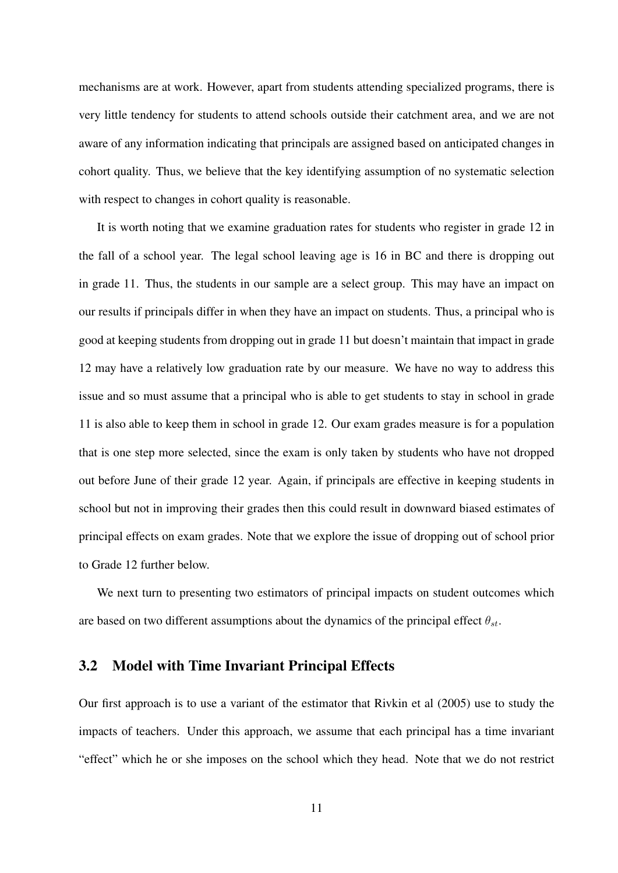mechanisms are at work. However, apart from students attending specialized programs, there is very little tendency for students to attend schools outside their catchment area, and we are not aware of any information indicating that principals are assigned based on anticipated changes in cohort quality. Thus, we believe that the key identifying assumption of no systematic selection with respect to changes in cohort quality is reasonable.

It is worth noting that we examine graduation rates for students who register in grade 12 in the fall of a school year. The legal school leaving age is 16 in BC and there is dropping out in grade 11. Thus, the students in our sample are a select group. This may have an impact on our results if principals differ in when they have an impact on students. Thus, a principal who is good at keeping students from dropping out in grade 11 but doesn't maintain that impact in grade 12 may have a relatively low graduation rate by our measure. We have no way to address this issue and so must assume that a principal who is able to get students to stay in school in grade 11 is also able to keep them in school in grade 12. Our exam grades measure is for a population that is one step more selected, since the exam is only taken by students who have not dropped out before June of their grade 12 year. Again, if principals are effective in keeping students in school but not in improving their grades then this could result in downward biased estimates of principal effects on exam grades. Note that we explore the issue of dropping out of school prior to Grade 12 further below.

We next turn to presenting two estimators of principal impacts on student outcomes which are based on two different assumptions about the dynamics of the principal effect  $\theta_{st}$ .

#### 3.2 Model with Time Invariant Principal Effects

Our first approach is to use a variant of the estimator that Rivkin et al (2005) use to study the impacts of teachers. Under this approach, we assume that each principal has a time invariant "effect" which he or she imposes on the school which they head. Note that we do not restrict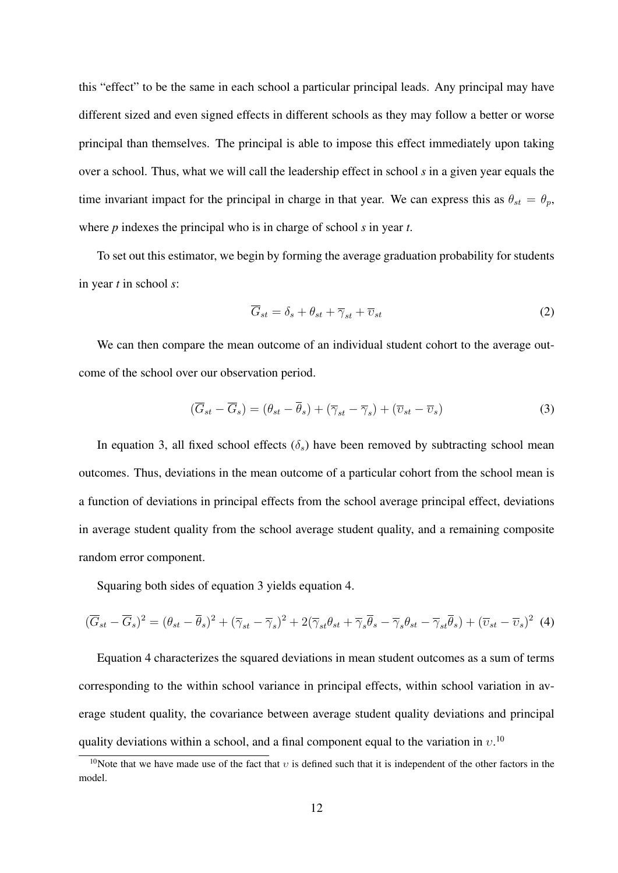this "effect" to be the same in each school a particular principal leads. Any principal may have different sized and even signed effects in different schools as they may follow a better or worse principal than themselves. The principal is able to impose this effect immediately upon taking over a school. Thus, what we will call the leadership effect in school *s* in a given year equals the time invariant impact for the principal in charge in that year. We can express this as  $\theta_{st} = \theta_p$ , where *p* indexes the principal who is in charge of school *s* in year *t*.

To set out this estimator, we begin by forming the average graduation probability for students in year *t* in school *s*:

$$
\overline{G}_{st} = \delta_s + \theta_{st} + \overline{\gamma}_{st} + \overline{\upsilon}_{st} \tag{2}
$$

We can then compare the mean outcome of an individual student cohort to the average outcome of the school over our observation period.

$$
(\overline{G}_{st} - \overline{G}_s) = (\theta_{st} - \overline{\theta}_s) + (\overline{\gamma}_{st} - \overline{\gamma}_s) + (\overline{v}_{st} - \overline{v}_s)
$$
(3)

In equation 3, all fixed school effects  $(\delta_s)$  have been removed by subtracting school mean outcomes. Thus, deviations in the mean outcome of a particular cohort from the school mean is a function of deviations in principal effects from the school average principal effect, deviations in average student quality from the school average student quality, and a remaining composite random error component.

Squaring both sides of equation 3 yields equation 4.

$$
(\overline{G}_{st} - \overline{G}_s)^2 = (\theta_{st} - \overline{\theta}_s)^2 + (\overline{\gamma}_{st} - \overline{\gamma}_s)^2 + 2(\overline{\gamma}_{st}\theta_{st} + \overline{\gamma}_s\overline{\theta}_s - \overline{\gamma}_s\theta_{st} - \overline{\gamma}_{st}\overline{\theta}_s) + (\overline{\upsilon}_{st} - \overline{\upsilon}_s)^2
$$
(4)

Equation 4 characterizes the squared deviations in mean student outcomes as a sum of terms corresponding to the within school variance in principal effects, within school variation in average student quality, the covariance between average student quality deviations and principal quality deviations within a school, and a final component equal to the variation in  $v^{10}$ .

<sup>10</sup>Note that we have made use of the fact that *υ* is defined such that it is independent of the other factors in the model.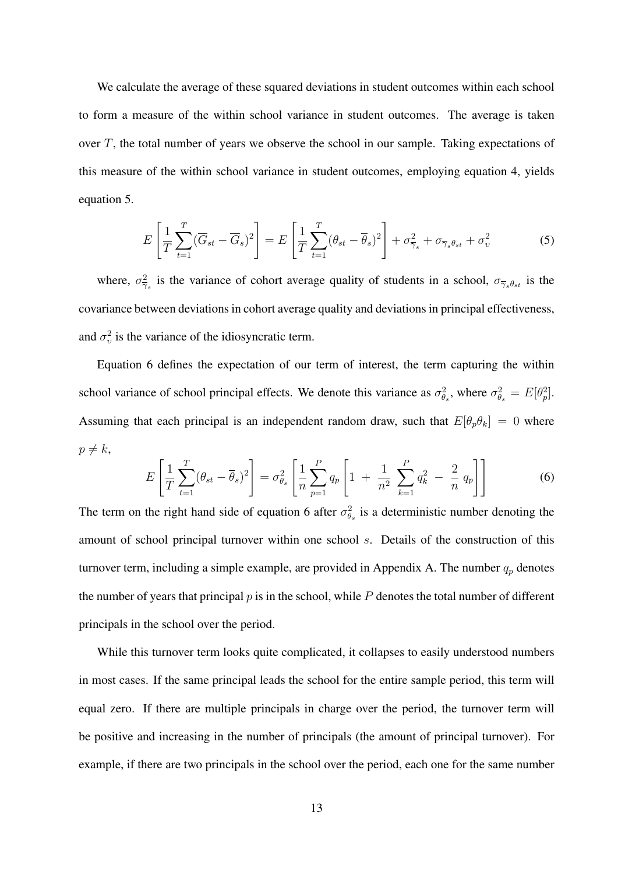We calculate the average of these squared deviations in student outcomes within each school to form a measure of the within school variance in student outcomes. The average is taken over *T*, the total number of years we observe the school in our sample. Taking expectations of this measure of the within school variance in student outcomes, employing equation 4, yields equation 5.

$$
E\left[\frac{1}{T}\sum_{t=1}^{T}(\overline{G}_{st}-\overline{G}_{s})^{2}\right]=E\left[\frac{1}{T}\sum_{t=1}^{T}(\theta_{st}-\overline{\theta}_{s})^{2}\right]+\sigma_{\overline{\gamma}_{s}}^{2}+\sigma_{\overline{\gamma}_{s}\theta_{st}}+\sigma_{v}^{2}
$$
(5)

where,  $\sigma_{\overline{\gamma}_s}^2$  is the variance of cohort average quality of students in a school,  $\sigma_{\overline{\gamma}_s\theta_{st}}$  is the covariance between deviations in cohort average quality and deviations in principal effectiveness, and  $\sigma_v^2$  is the variance of the idiosyncratic term.

Equation 6 defines the expectation of our term of interest, the term capturing the within school variance of school principal effects. We denote this variance as  $\sigma_{\theta_s}^2$ , where  $\sigma_{\theta_s}^2 = E[\theta_p^2]$ . Assuming that each principal is an independent random draw, such that  $E[\theta_p \theta_k] = 0$  where  $p \neq k$ ,

$$
E\left[\frac{1}{T}\sum_{t=1}^{T}(\theta_{st}-\overline{\theta}_{s})^{2}\right]=\sigma_{\theta_{s}}^{2}\left[\frac{1}{n}\sum_{p=1}^{P}q_{p}\left[1+\frac{1}{n^{2}}\sum_{k=1}^{P}q_{k}^{2}-\frac{2}{n}q_{p}\right]\right]
$$
(6)

The term on the right hand side of equation 6 after  $\sigma_{\theta_s}^2$  is a deterministic number denoting the amount of school principal turnover within one school *s*. Details of the construction of this turnover term, including a simple example, are provided in Appendix A. The number  $q_p$  denotes the number of years that principal *p* is in the school, while *P* denotes the total number of different principals in the school over the period.

While this turnover term looks quite complicated, it collapses to easily understood numbers in most cases. If the same principal leads the school for the entire sample period, this term will equal zero. If there are multiple principals in charge over the period, the turnover term will be positive and increasing in the number of principals (the amount of principal turnover). For example, if there are two principals in the school over the period, each one for the same number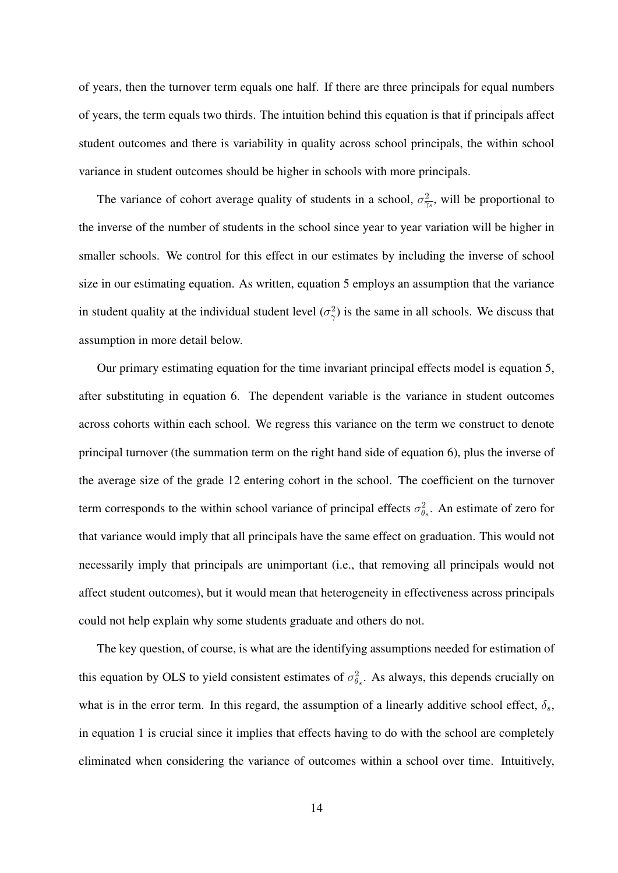of years, then the turnover term equals one half. If there are three principals for equal numbers of years, the term equals two thirds. The intuition behind this equation is that if principals affect student outcomes and there is variability in quality across school principals, the within school variance in student outcomes should be higher in schools with more principals.

The variance of cohort average quality of students in a school,  $\sigma_{\overline{\gamma_s}}^2$ , will be proportional to the inverse of the number of students in the school since year to year variation will be higher in smaller schools. We control for this effect in our estimates by including the inverse of school size in our estimating equation. As written, equation 5 employs an assumption that the variance in student quality at the individual student level  $(\sigma^2_\gamma)$  is the same in all schools. We discuss that assumption in more detail below.

Our primary estimating equation for the time invariant principal effects model is equation 5, after substituting in equation 6. The dependent variable is the variance in student outcomes across cohorts within each school. We regress this variance on the term we construct to denote principal turnover (the summation term on the right hand side of equation 6), plus the inverse of the average size of the grade 12 entering cohort in the school. The coefficient on the turnover term corresponds to the within school variance of principal effects  $\sigma_{\theta_s}^2$ . An estimate of zero for that variance would imply that all principals have the same effect on graduation. This would not necessarily imply that principals are unimportant (i.e., that removing all principals would not affect student outcomes), but it would mean that heterogeneity in effectiveness across principals could not help explain why some students graduate and others do not.

The key question, of course, is what are the identifying assumptions needed for estimation of this equation by OLS to yield consistent estimates of  $\sigma_{\theta_s}^2$ . As always, this depends crucially on what is in the error term. In this regard, the assumption of a linearly additive school effect,  $\delta_s$ , in equation 1 is crucial since it implies that effects having to do with the school are completely eliminated when considering the variance of outcomes within a school over time. Intuitively,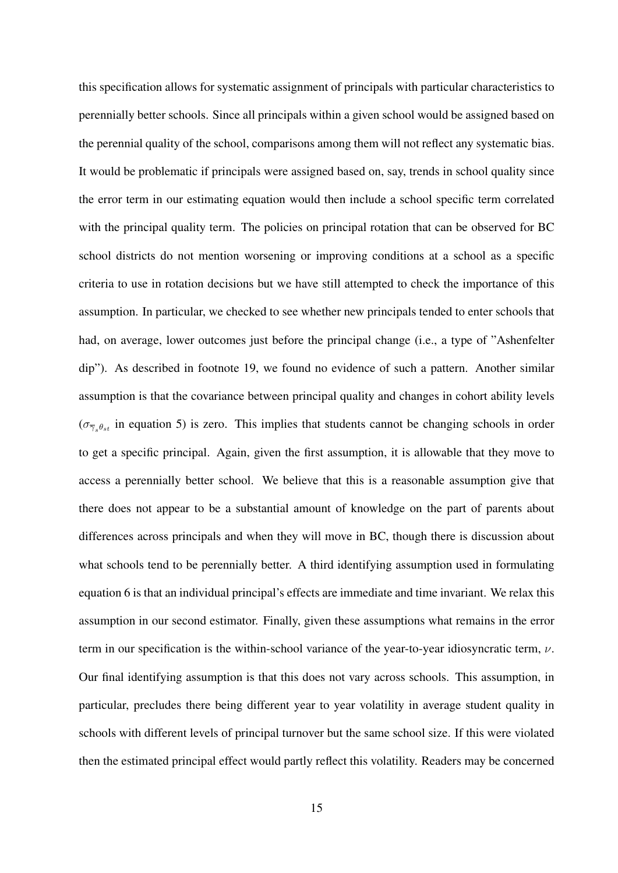this specification allows for systematic assignment of principals with particular characteristics to perennially better schools. Since all principals within a given school would be assigned based on the perennial quality of the school, comparisons among them will not reflect any systematic bias. It would be problematic if principals were assigned based on, say, trends in school quality since the error term in our estimating equation would then include a school specific term correlated with the principal quality term. The policies on principal rotation that can be observed for BC school districts do not mention worsening or improving conditions at a school as a specific criteria to use in rotation decisions but we have still attempted to check the importance of this assumption. In particular, we checked to see whether new principals tended to enter schools that had, on average, lower outcomes just before the principal change (i.e., a type of "Ashenfelter dip"). As described in footnote 19, we found no evidence of such a pattern. Another similar assumption is that the covariance between principal quality and changes in cohort ability levels  $(\sigma_{\overline{\gamma}_s \theta_{st}})$  in equation 5) is zero. This implies that students cannot be changing schools in order to get a specific principal. Again, given the first assumption, it is allowable that they move to access a perennially better school. We believe that this is a reasonable assumption give that there does not appear to be a substantial amount of knowledge on the part of parents about differences across principals and when they will move in BC, though there is discussion about what schools tend to be perennially better. A third identifying assumption used in formulating equation 6 is that an individual principal's effects are immediate and time invariant. We relax this assumption in our second estimator. Finally, given these assumptions what remains in the error term in our specification is the within-school variance of the year-to-year idiosyncratic term, *ν*. Our final identifying assumption is that this does not vary across schools. This assumption, in particular, precludes there being different year to year volatility in average student quality in schools with different levels of principal turnover but the same school size. If this were violated then the estimated principal effect would partly reflect this volatility. Readers may be concerned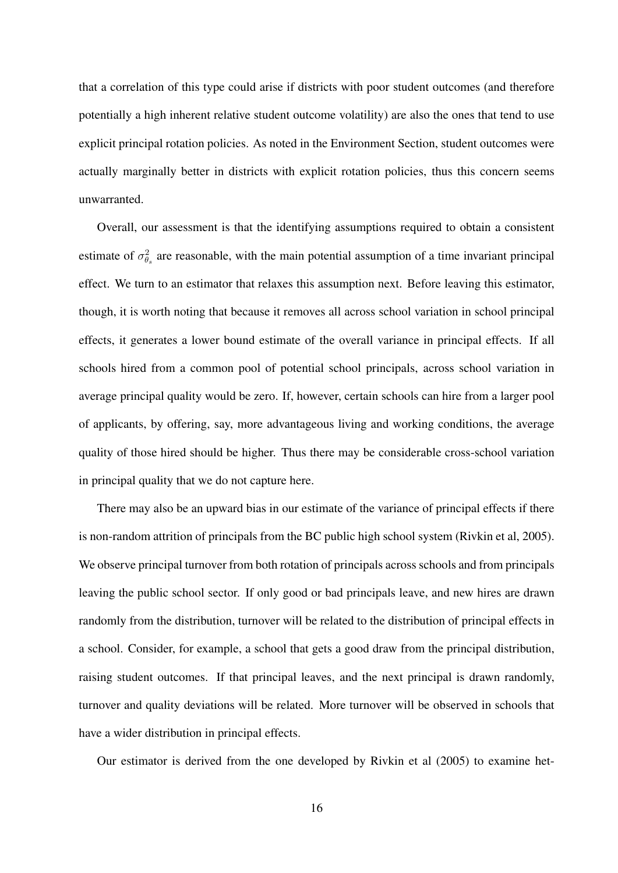that a correlation of this type could arise if districts with poor student outcomes (and therefore potentially a high inherent relative student outcome volatility) are also the ones that tend to use explicit principal rotation policies. As noted in the Environment Section, student outcomes were actually marginally better in districts with explicit rotation policies, thus this concern seems unwarranted.

Overall, our assessment is that the identifying assumptions required to obtain a consistent estimate of  $\sigma_{\theta_s}^2$  are reasonable, with the main potential assumption of a time invariant principal effect. We turn to an estimator that relaxes this assumption next. Before leaving this estimator, though, it is worth noting that because it removes all across school variation in school principal effects, it generates a lower bound estimate of the overall variance in principal effects. If all schools hired from a common pool of potential school principals, across school variation in average principal quality would be zero. If, however, certain schools can hire from a larger pool of applicants, by offering, say, more advantageous living and working conditions, the average quality of those hired should be higher. Thus there may be considerable cross-school variation in principal quality that we do not capture here.

There may also be an upward bias in our estimate of the variance of principal effects if there is non-random attrition of principals from the BC public high school system (Rivkin et al, 2005). We observe principal turnover from both rotation of principals across schools and from principals leaving the public school sector. If only good or bad principals leave, and new hires are drawn randomly from the distribution, turnover will be related to the distribution of principal effects in a school. Consider, for example, a school that gets a good draw from the principal distribution, raising student outcomes. If that principal leaves, and the next principal is drawn randomly, turnover and quality deviations will be related. More turnover will be observed in schools that have a wider distribution in principal effects.

Our estimator is derived from the one developed by Rivkin et al (2005) to examine het-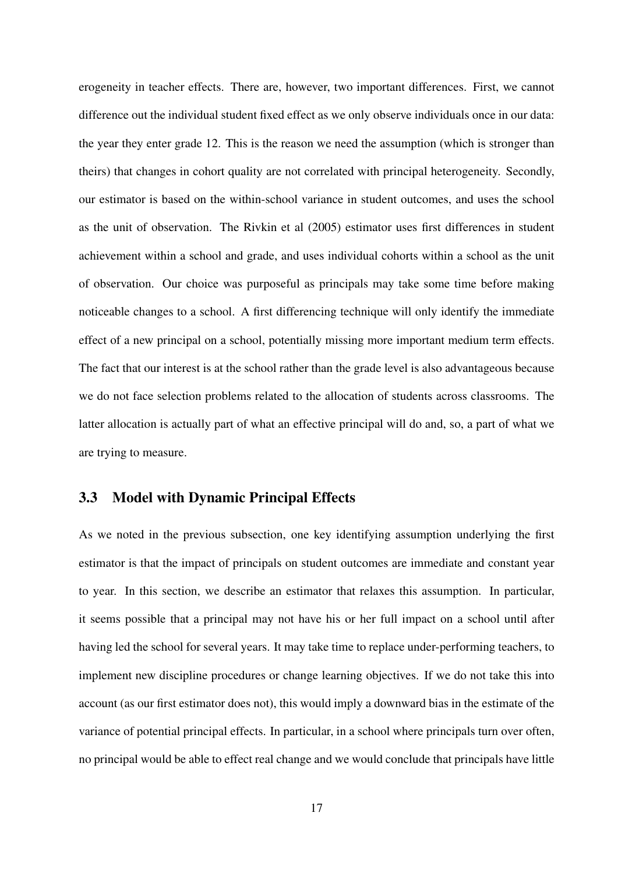erogeneity in teacher effects. There are, however, two important differences. First, we cannot difference out the individual student fixed effect as we only observe individuals once in our data: the year they enter grade 12. This is the reason we need the assumption (which is stronger than theirs) that changes in cohort quality are not correlated with principal heterogeneity. Secondly, our estimator is based on the within-school variance in student outcomes, and uses the school as the unit of observation. The Rivkin et al (2005) estimator uses first differences in student achievement within a school and grade, and uses individual cohorts within a school as the unit of observation. Our choice was purposeful as principals may take some time before making noticeable changes to a school. A first differencing technique will only identify the immediate effect of a new principal on a school, potentially missing more important medium term effects. The fact that our interest is at the school rather than the grade level is also advantageous because we do not face selection problems related to the allocation of students across classrooms. The latter allocation is actually part of what an effective principal will do and, so, a part of what we are trying to measure.

#### 3.3 Model with Dynamic Principal Effects

As we noted in the previous subsection, one key identifying assumption underlying the first estimator is that the impact of principals on student outcomes are immediate and constant year to year. In this section, we describe an estimator that relaxes this assumption. In particular, it seems possible that a principal may not have his or her full impact on a school until after having led the school for several years. It may take time to replace under-performing teachers, to implement new discipline procedures or change learning objectives. If we do not take this into account (as our first estimator does not), this would imply a downward bias in the estimate of the variance of potential principal effects. In particular, in a school where principals turn over often, no principal would be able to effect real change and we would conclude that principals have little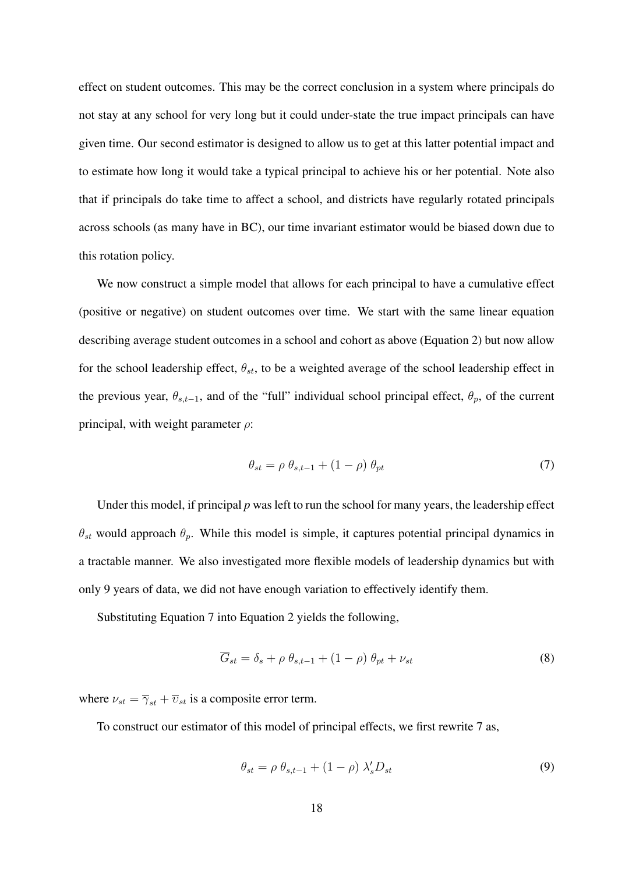effect on student outcomes. This may be the correct conclusion in a system where principals do not stay at any school for very long but it could under-state the true impact principals can have given time. Our second estimator is designed to allow us to get at this latter potential impact and to estimate how long it would take a typical principal to achieve his or her potential. Note also that if principals do take time to affect a school, and districts have regularly rotated principals across schools (as many have in BC), our time invariant estimator would be biased down due to this rotation policy.

We now construct a simple model that allows for each principal to have a cumulative effect (positive or negative) on student outcomes over time. We start with the same linear equation describing average student outcomes in a school and cohort as above (Equation 2) but now allow for the school leadership effect,  $\theta_{st}$ , to be a weighted average of the school leadership effect in the previous year,  $\theta_{s,t-1}$ , and of the "full" individual school principal effect,  $\theta_p$ , of the current principal, with weight parameter *ρ*:

$$
\theta_{st} = \rho \; \theta_{s,t-1} + (1 - \rho) \; \theta_{pt} \tag{7}
$$

Under this model, if principal *p* was left to run the school for many years, the leadership effect  $\theta_{st}$  would approach  $\theta_p$ . While this model is simple, it captures potential principal dynamics in a tractable manner. We also investigated more flexible models of leadership dynamics but with only 9 years of data, we did not have enough variation to effectively identify them.

Substituting Equation 7 into Equation 2 yields the following,

$$
\overline{G}_{st} = \delta_s + \rho \ \theta_{s,t-1} + (1 - \rho) \ \theta_{pt} + \nu_{st} \tag{8}
$$

where  $\nu_{st} = \overline{\gamma}_{st} + \overline{\nu}_{st}$  is a composite error term.

To construct our estimator of this model of principal effects, we first rewrite 7 as,

$$
\theta_{st} = \rho \; \theta_{s,t-1} + (1 - \rho) \; \lambda_s' D_{st} \tag{9}
$$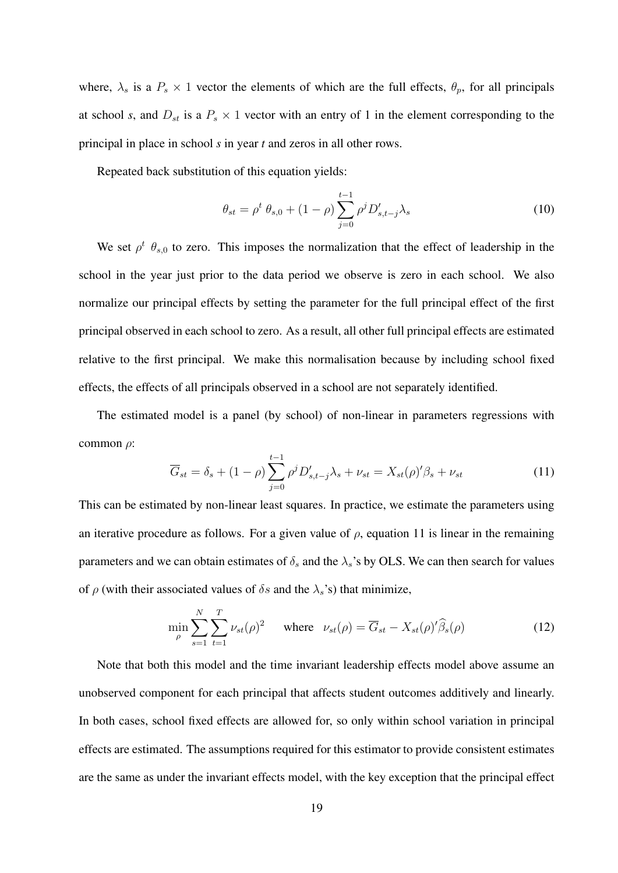where,  $\lambda_s$  is a  $P_s \times 1$  vector the elements of which are the full effects,  $\theta_p$ , for all principals at school *s*, and  $D_{st}$  is a  $P_s \times 1$  vector with an entry of 1 in the element corresponding to the principal in place in school *s* in year *t* and zeros in all other rows.

Repeated back substitution of this equation yields:

$$
\theta_{st} = \rho^t \ \theta_{s,0} + (1 - \rho) \sum_{j=0}^{t-1} \rho^j D'_{s,t-j} \lambda_s \tag{10}
$$

We set  $\rho^t$   $\theta_{s,0}$  to zero. This imposes the normalization that the effect of leadership in the school in the year just prior to the data period we observe is zero in each school. We also normalize our principal effects by setting the parameter for the full principal effect of the first principal observed in each school to zero. As a result, all other full principal effects are estimated relative to the first principal. We make this normalisation because by including school fixed effects, the effects of all principals observed in a school are not separately identified.

The estimated model is a panel (by school) of non-linear in parameters regressions with common *ρ*:

$$
\overline{G}_{st} = \delta_s + (1 - \rho) \sum_{j=0}^{t-1} \rho^j D'_{s,t-j} \lambda_s + \nu_{st} = X_{st}(\rho)' \beta_s + \nu_{st}
$$
(11)

This can be estimated by non-linear least squares. In practice, we estimate the parameters using an iterative procedure as follows. For a given value of  $\rho$ , equation 11 is linear in the remaining parameters and we can obtain estimates of  $\delta_s$  and the  $\lambda_s$ 's by OLS. We can then search for values of  $\rho$  (with their associated values of  $\delta s$  and the  $\lambda_s$ 's) that minimize,

$$
\min_{\rho} \sum_{s=1}^{N} \sum_{t=1}^{T} \nu_{st}(\rho)^2 \quad \text{where} \quad \nu_{st}(\rho) = \overline{G}_{st} - X_{st}(\rho)'\widehat{\beta}_s(\rho) \tag{12}
$$

Note that both this model and the time invariant leadership effects model above assume an unobserved component for each principal that affects student outcomes additively and linearly. In both cases, school fixed effects are allowed for, so only within school variation in principal effects are estimated. The assumptions required for this estimator to provide consistent estimates are the same as under the invariant effects model, with the key exception that the principal effect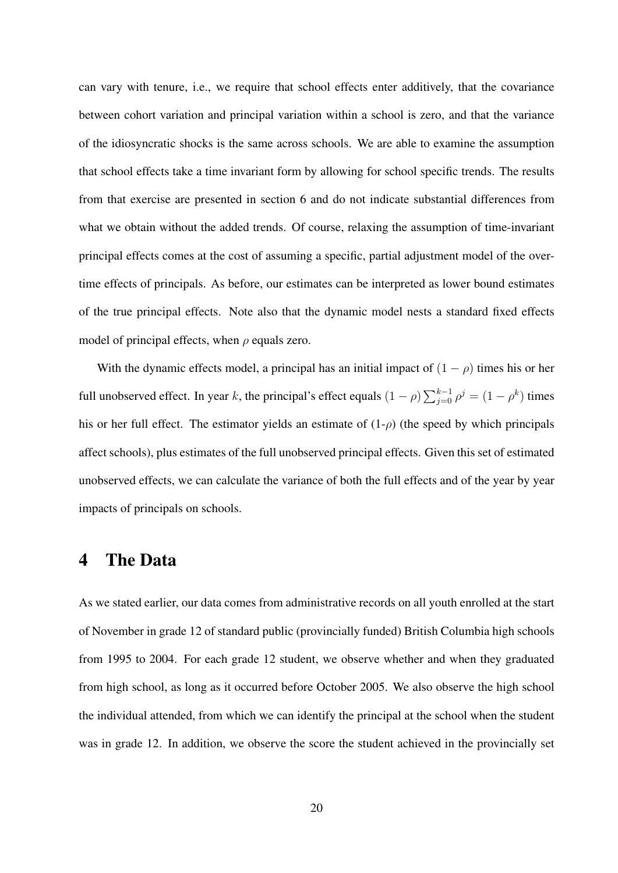can vary with tenure, i.e., we require that school effects enter additively, that the covariance between cohort variation and principal variation within a school is zero, and that the variance of the idiosyncratic shocks is the same across schools. We are able to examine the assumption that school effects take a time invariant form by allowing for school specific trends. The results from that exercise are presented in section 6 and do not indicate substantial differences from what we obtain without the added trends. Of course, relaxing the assumption of time-invariant principal effects comes at the cost of assuming a specific, partial adjustment model of the overtime effects of principals. As before, our estimates can be interpreted as lower bound estimates of the true principal effects. Note also that the dynamic model nests a standard fixed effects model of principal effects, when *ρ* equals zero.

With the dynamic effects model, a principal has an initial impact of  $(1 - \rho)$  times his or her full unobserved effect. In year *k*, the principal's effect equals  $(1 - \rho) \sum_{j=0}^{k-1} \rho^j = (1 - \rho^k)$  times his or her full effect. The estimator yields an estimate of  $(1-\rho)$  (the speed by which principals affect schools), plus estimates of the full unobserved principal effects. Given this set of estimated unobserved effects, we can calculate the variance of both the full effects and of the year by year impacts of principals on schools.

#### 4 The Data

As we stated earlier, our data comes from administrative records on all youth enrolled at the start of November in grade 12 of standard public (provincially funded) British Columbia high schools from 1995 to 2004. For each grade 12 student, we observe whether and when they graduated from high school, as long as it occurred before October 2005. We also observe the high school the individual attended, from which we can identify the principal at the school when the student was in grade 12. In addition, we observe the score the student achieved in the provincially set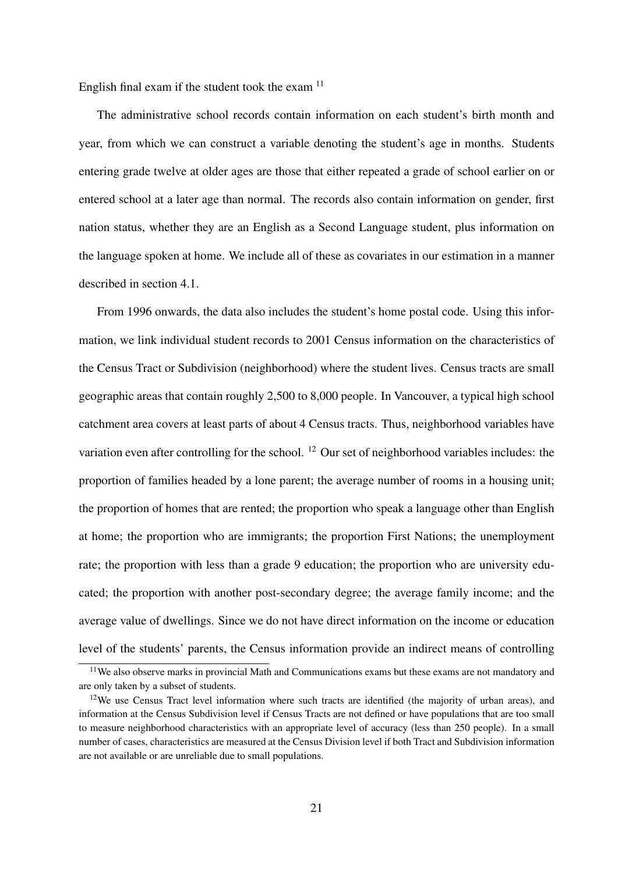English final exam if the student took the exam  $11$ 

The administrative school records contain information on each student's birth month and year, from which we can construct a variable denoting the student's age in months. Students entering grade twelve at older ages are those that either repeated a grade of school earlier on or entered school at a later age than normal. The records also contain information on gender, first nation status, whether they are an English as a Second Language student, plus information on the language spoken at home. We include all of these as covariates in our estimation in a manner described in section 4.1.

From 1996 onwards, the data also includes the student's home postal code. Using this information, we link individual student records to 2001 Census information on the characteristics of the Census Tract or Subdivision (neighborhood) where the student lives. Census tracts are small geographic areas that contain roughly 2,500 to 8,000 people. In Vancouver, a typical high school catchment area covers at least parts of about 4 Census tracts. Thus, neighborhood variables have variation even after controlling for the school. <sup>12</sup> Our set of neighborhood variables includes: the proportion of families headed by a lone parent; the average number of rooms in a housing unit; the proportion of homes that are rented; the proportion who speak a language other than English at home; the proportion who are immigrants; the proportion First Nations; the unemployment rate; the proportion with less than a grade 9 education; the proportion who are university educated; the proportion with another post-secondary degree; the average family income; and the average value of dwellings. Since we do not have direct information on the income or education level of the students' parents, the Census information provide an indirect means of controlling

<sup>&</sup>lt;sup>11</sup>We also observe marks in provincial Math and Communications exams but these exams are not mandatory and are only taken by a subset of students.

 $12$ We use Census Tract level information where such tracts are identified (the majority of urban areas), and information at the Census Subdivision level if Census Tracts are not defined or have populations that are too small to measure neighborhood characteristics with an appropriate level of accuracy (less than 250 people). In a small number of cases, characteristics are measured at the Census Division level if both Tract and Subdivision information are not available or are unreliable due to small populations.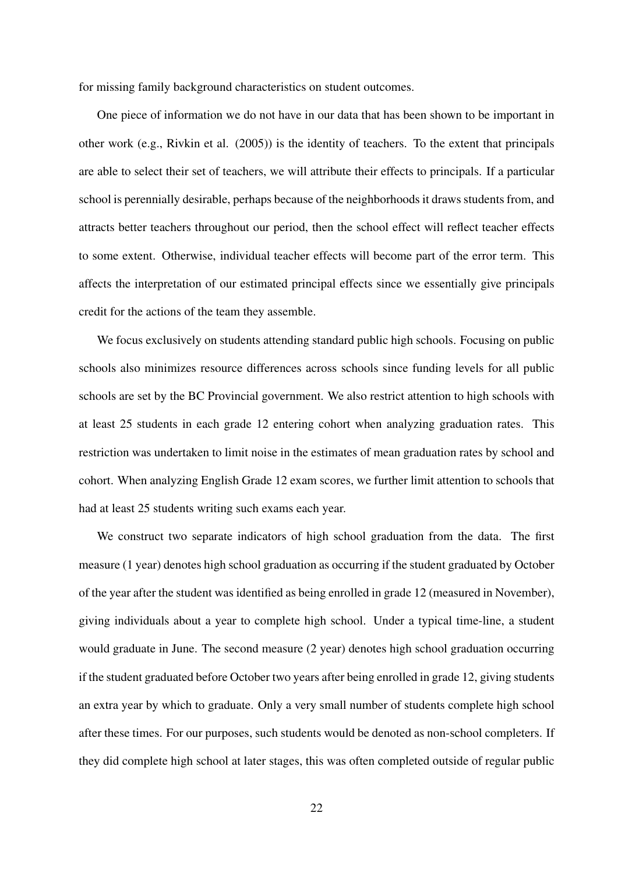for missing family background characteristics on student outcomes.

One piece of information we do not have in our data that has been shown to be important in other work (e.g., Rivkin et al. (2005)) is the identity of teachers. To the extent that principals are able to select their set of teachers, we will attribute their effects to principals. If a particular school is perennially desirable, perhaps because of the neighborhoods it draws students from, and attracts better teachers throughout our period, then the school effect will reflect teacher effects to some extent. Otherwise, individual teacher effects will become part of the error term. This affects the interpretation of our estimated principal effects since we essentially give principals credit for the actions of the team they assemble.

We focus exclusively on students attending standard public high schools. Focusing on public schools also minimizes resource differences across schools since funding levels for all public schools are set by the BC Provincial government. We also restrict attention to high schools with at least 25 students in each grade 12 entering cohort when analyzing graduation rates. This restriction was undertaken to limit noise in the estimates of mean graduation rates by school and cohort. When analyzing English Grade 12 exam scores, we further limit attention to schools that had at least 25 students writing such exams each year.

We construct two separate indicators of high school graduation from the data. The first measure (1 year) denotes high school graduation as occurring if the student graduated by October of the year after the student was identified as being enrolled in grade 12 (measured in November), giving individuals about a year to complete high school. Under a typical time-line, a student would graduate in June. The second measure (2 year) denotes high school graduation occurring if the student graduated before October two years after being enrolled in grade 12, giving students an extra year by which to graduate. Only a very small number of students complete high school after these times. For our purposes, such students would be denoted as non-school completers. If they did complete high school at later stages, this was often completed outside of regular public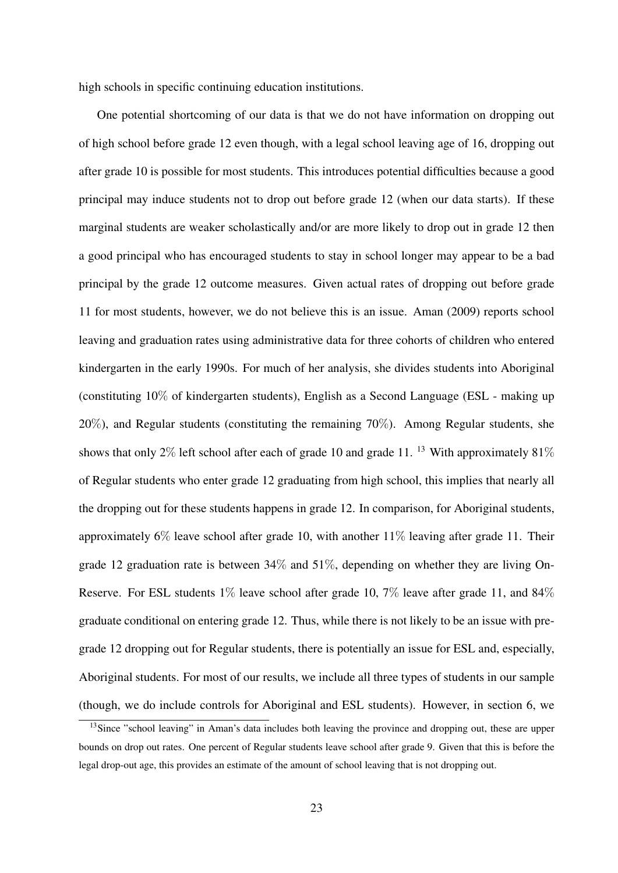high schools in specific continuing education institutions.

One potential shortcoming of our data is that we do not have information on dropping out of high school before grade 12 even though, with a legal school leaving age of 16, dropping out after grade 10 is possible for most students. This introduces potential difficulties because a good principal may induce students not to drop out before grade 12 (when our data starts). If these marginal students are weaker scholastically and/or are more likely to drop out in grade 12 then a good principal who has encouraged students to stay in school longer may appear to be a bad principal by the grade 12 outcome measures. Given actual rates of dropping out before grade 11 for most students, however, we do not believe this is an issue. Aman (2009) reports school leaving and graduation rates using administrative data for three cohorts of children who entered kindergarten in the early 1990s. For much of her analysis, she divides students into Aboriginal (constituting 10% of kindergarten students), English as a Second Language (ESL - making up 20%), and Regular students (constituting the remaining 70%). Among Regular students, she shows that only 2% left school after each of grade 10 and grade 11.<sup>13</sup> With approximately 81% of Regular students who enter grade 12 graduating from high school, this implies that nearly all the dropping out for these students happens in grade 12. In comparison, for Aboriginal students, approximately 6% leave school after grade 10, with another 11% leaving after grade 11. Their grade 12 graduation rate is between 34% and 51%, depending on whether they are living On-Reserve. For ESL students 1% leave school after grade 10, 7% leave after grade 11, and 84% graduate conditional on entering grade 12. Thus, while there is not likely to be an issue with pregrade 12 dropping out for Regular students, there is potentially an issue for ESL and, especially, Aboriginal students. For most of our results, we include all three types of students in our sample (though, we do include controls for Aboriginal and ESL students). However, in section 6, we

<sup>&</sup>lt;sup>13</sup>Since "school leaving" in Aman's data includes both leaving the province and dropping out, these are upper bounds on drop out rates. One percent of Regular students leave school after grade 9. Given that this is before the legal drop-out age, this provides an estimate of the amount of school leaving that is not dropping out.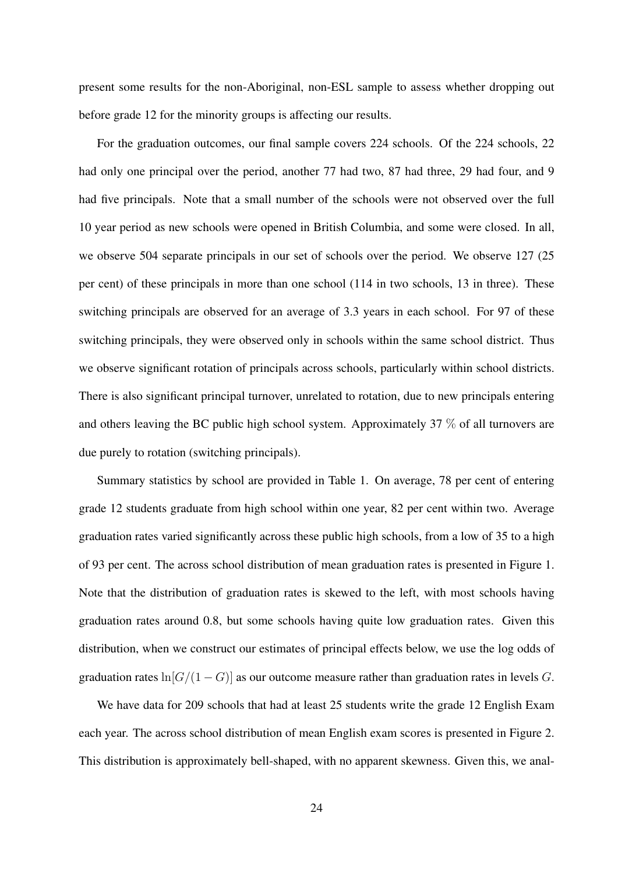present some results for the non-Aboriginal, non-ESL sample to assess whether dropping out before grade 12 for the minority groups is affecting our results.

For the graduation outcomes, our final sample covers 224 schools. Of the 224 schools, 22 had only one principal over the period, another 77 had two, 87 had three, 29 had four, and 9 had five principals. Note that a small number of the schools were not observed over the full 10 year period as new schools were opened in British Columbia, and some were closed. In all, we observe 504 separate principals in our set of schools over the period. We observe 127 (25 per cent) of these principals in more than one school (114 in two schools, 13 in three). These switching principals are observed for an average of 3.3 years in each school. For 97 of these switching principals, they were observed only in schools within the same school district. Thus we observe significant rotation of principals across schools, particularly within school districts. There is also significant principal turnover, unrelated to rotation, due to new principals entering and others leaving the BC public high school system. Approximately 37 % of all turnovers are due purely to rotation (switching principals).

Summary statistics by school are provided in Table 1. On average, 78 per cent of entering grade 12 students graduate from high school within one year, 82 per cent within two. Average graduation rates varied significantly across these public high schools, from a low of 35 to a high of 93 per cent. The across school distribution of mean graduation rates is presented in Figure 1. Note that the distribution of graduation rates is skewed to the left, with most schools having graduation rates around 0.8, but some schools having quite low graduation rates. Given this distribution, when we construct our estimates of principal effects below, we use the log odds of graduation rates  $\ln[G/(1-G)]$  as our outcome measure rather than graduation rates in levels *G*.

We have data for 209 schools that had at least 25 students write the grade 12 English Exam each year. The across school distribution of mean English exam scores is presented in Figure 2. This distribution is approximately bell-shaped, with no apparent skewness. Given this, we anal-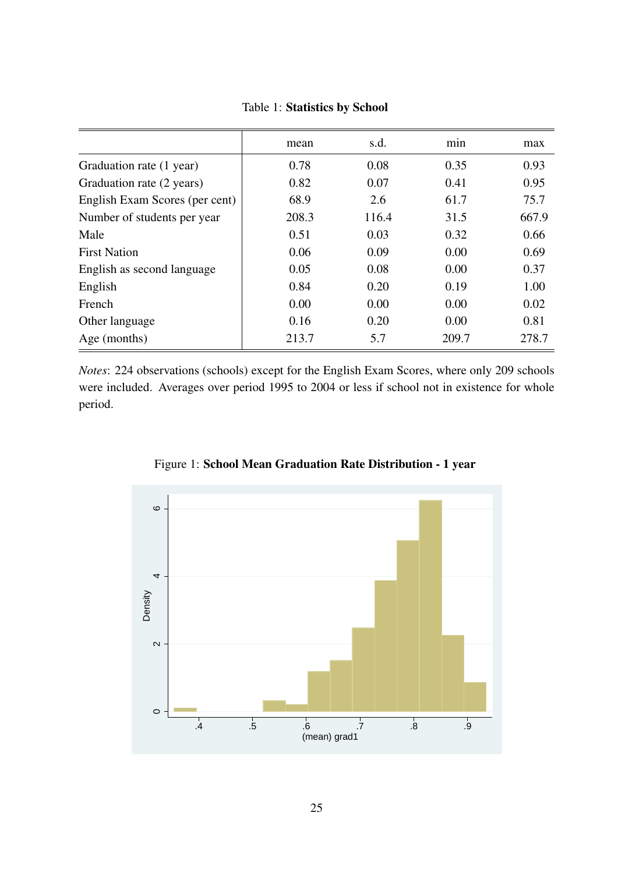| mean  | s.d.  | min   | max   |
|-------|-------|-------|-------|
| 0.78  | 0.08  | 0.35  | 0.93  |
| 0.82  | 0.07  | 0.41  | 0.95  |
| 68.9  | 2.6   | 61.7  | 75.7  |
| 208.3 | 116.4 | 31.5  | 667.9 |
| 0.51  | 0.03  | 0.32  | 0.66  |
| 0.06  | 0.09  | 0.00  | 0.69  |
| 0.05  | 0.08  | 0.00  | 0.37  |
| 0.84  | 0.20  | 0.19  | 1.00  |
| 0.00  | 0.00  | 0.00  | 0.02  |
| 0.16  | 0.20  | 0.00  | 0.81  |
| 213.7 | 5.7   | 209.7 | 278.7 |
|       |       |       |       |

Table 1: Statistics by School

*Notes*: 224 observations (schools) except for the English Exam Scores, where only 209 schools were included. Averages over period 1995 to 2004 or less if school not in existence for whole period.



Figure 1: School Mean Graduation Rate Distribution - 1 year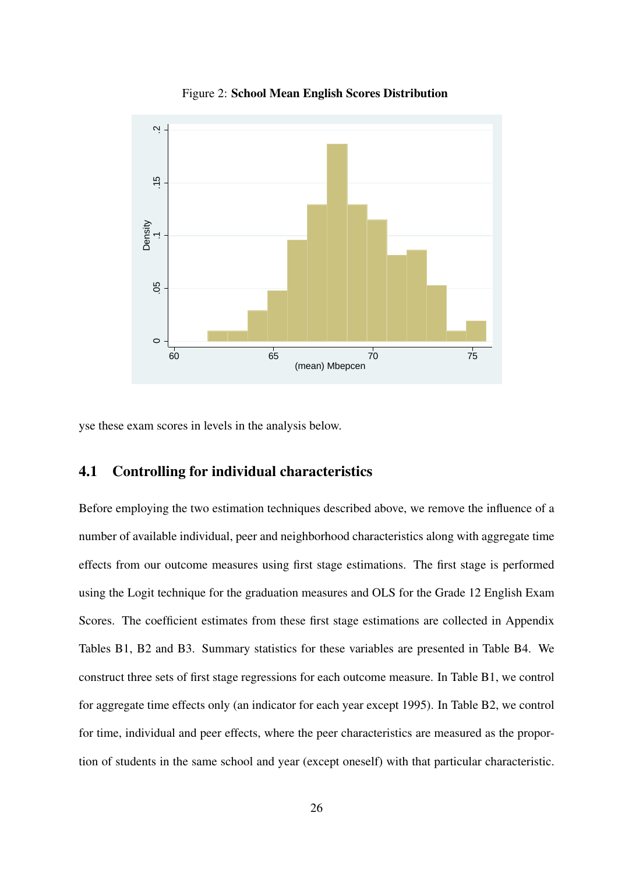

Figure 2: School Mean English Scores Distribution

yse these exam scores in levels in the analysis below.

### 4.1 Controlling for individual characteristics

Before employing the two estimation techniques described above, we remove the influence of a number of available individual, peer and neighborhood characteristics along with aggregate time effects from our outcome measures using first stage estimations. The first stage is performed using the Logit technique for the graduation measures and OLS for the Grade 12 English Exam Scores. The coefficient estimates from these first stage estimations are collected in Appendix Tables B1, B2 and B3. Summary statistics for these variables are presented in Table B4. We construct three sets of first stage regressions for each outcome measure. In Table B1, we control for aggregate time effects only (an indicator for each year except 1995). In Table B2, we control for time, individual and peer effects, where the peer characteristics are measured as the proportion of students in the same school and year (except oneself) with that particular characteristic.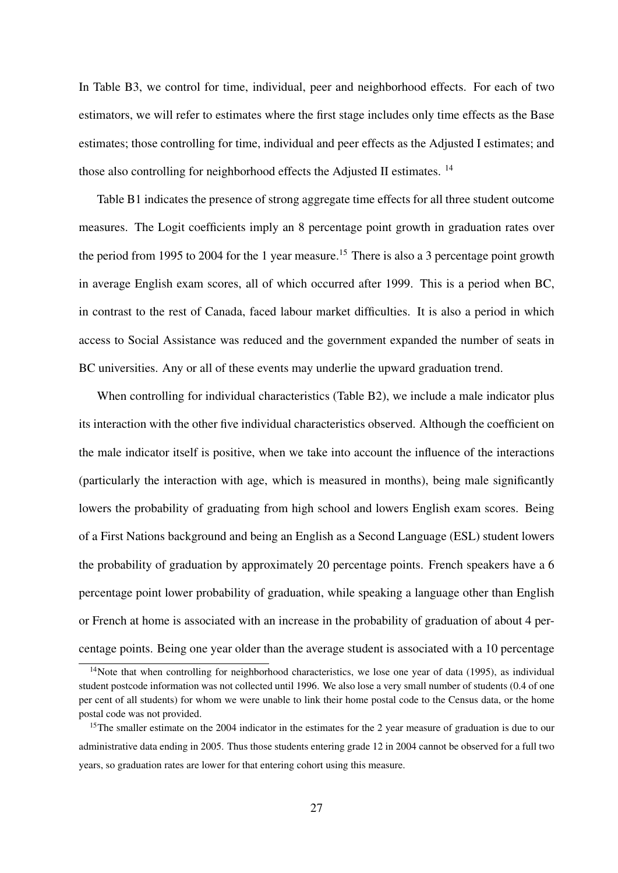In Table B3, we control for time, individual, peer and neighborhood effects. For each of two estimators, we will refer to estimates where the first stage includes only time effects as the Base estimates; those controlling for time, individual and peer effects as the Adjusted I estimates; and those also controlling for neighborhood effects the Adjusted II estimates. <sup>14</sup>

Table B1 indicates the presence of strong aggregate time effects for all three student outcome measures. The Logit coefficients imply an 8 percentage point growth in graduation rates over the period from 1995 to 2004 for the 1 year measure.<sup>15</sup> There is also a 3 percentage point growth in average English exam scores, all of which occurred after 1999. This is a period when BC, in contrast to the rest of Canada, faced labour market difficulties. It is also a period in which access to Social Assistance was reduced and the government expanded the number of seats in BC universities. Any or all of these events may underlie the upward graduation trend.

When controlling for individual characteristics (Table B2), we include a male indicator plus its interaction with the other five individual characteristics observed. Although the coefficient on the male indicator itself is positive, when we take into account the influence of the interactions (particularly the interaction with age, which is measured in months), being male significantly lowers the probability of graduating from high school and lowers English exam scores. Being of a First Nations background and being an English as a Second Language (ESL) student lowers the probability of graduation by approximately 20 percentage points. French speakers have a 6 percentage point lower probability of graduation, while speaking a language other than English or French at home is associated with an increase in the probability of graduation of about 4 percentage points. Being one year older than the average student is associated with a 10 percentage

<sup>&</sup>lt;sup>14</sup>Note that when controlling for neighborhood characteristics, we lose one year of data (1995), as individual student postcode information was not collected until 1996. We also lose a very small number of students (0.4 of one per cent of all students) for whom we were unable to link their home postal code to the Census data, or the home postal code was not provided.

<sup>&</sup>lt;sup>15</sup>The smaller estimate on the 2004 indicator in the estimates for the 2 year measure of graduation is due to our administrative data ending in 2005. Thus those students entering grade 12 in 2004 cannot be observed for a full two years, so graduation rates are lower for that entering cohort using this measure.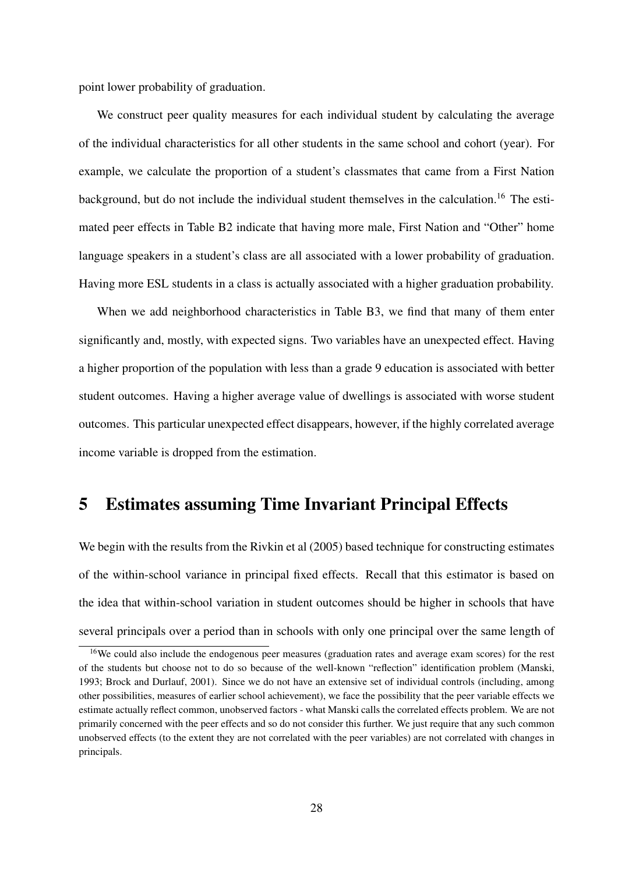point lower probability of graduation.

We construct peer quality measures for each individual student by calculating the average of the individual characteristics for all other students in the same school and cohort (year). For example, we calculate the proportion of a student's classmates that came from a First Nation background, but do not include the individual student themselves in the calculation.<sup>16</sup> The estimated peer effects in Table B2 indicate that having more male, First Nation and "Other" home language speakers in a student's class are all associated with a lower probability of graduation. Having more ESL students in a class is actually associated with a higher graduation probability.

When we add neighborhood characteristics in Table B3, we find that many of them enter significantly and, mostly, with expected signs. Two variables have an unexpected effect. Having a higher proportion of the population with less than a grade 9 education is associated with better student outcomes. Having a higher average value of dwellings is associated with worse student outcomes. This particular unexpected effect disappears, however, if the highly correlated average income variable is dropped from the estimation.

# 5 Estimates assuming Time Invariant Principal Effects

We begin with the results from the Rivkin et al (2005) based technique for constructing estimates of the within-school variance in principal fixed effects. Recall that this estimator is based on the idea that within-school variation in student outcomes should be higher in schools that have several principals over a period than in schools with only one principal over the same length of

<sup>&</sup>lt;sup>16</sup>We could also include the endogenous peer measures (graduation rates and average exam scores) for the rest of the students but choose not to do so because of the well-known "reflection" identification problem (Manski, 1993; Brock and Durlauf, 2001). Since we do not have an extensive set of individual controls (including, among other possibilities, measures of earlier school achievement), we face the possibility that the peer variable effects we estimate actually reflect common, unobserved factors - what Manski calls the correlated effects problem. We are not primarily concerned with the peer effects and so do not consider this further. We just require that any such common unobserved effects (to the extent they are not correlated with the peer variables) are not correlated with changes in principals.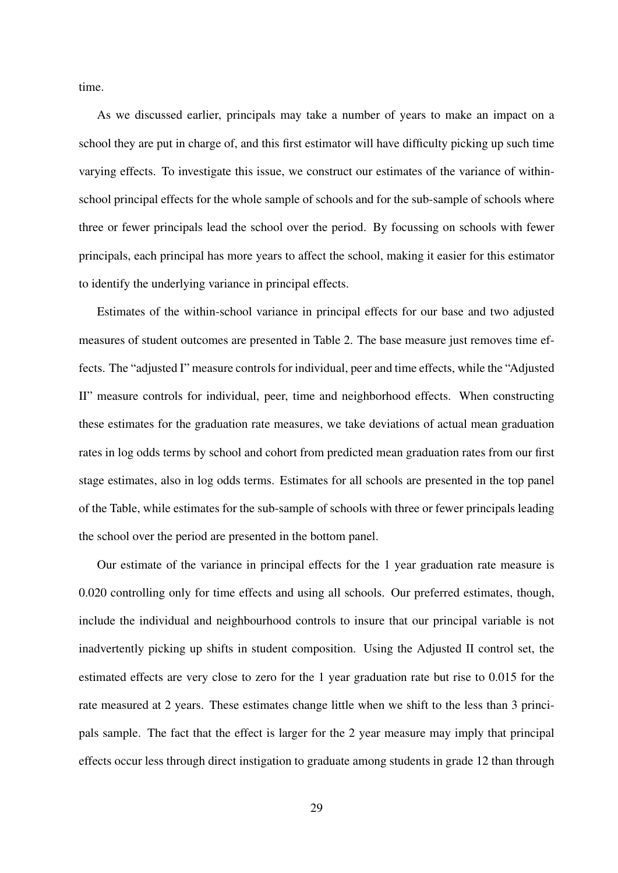time.

As we discussed earlier, principals may take a number of years to make an impact on a school they are put in charge of, and this first estimator will have difficulty picking up such time varying effects. To investigate this issue, we construct our estimates of the variance of withinschool principal effects for the whole sample of schools and for the sub-sample of schools where three or fewer principals lead the school over the period. By focussing on schools with fewer principals, each principal has more years to affect the school, making it easier for this estimator to identify the underlying variance in principal effects.

Estimates of the within-school variance in principal effects for our base and two adjusted measures of student outcomes are presented in Table 2. The base measure just removes time effects. The "adjusted I" measure controls for individual, peer and time effects, while the "Adjusted II" measure controls for individual, peer, time and neighborhood effects. When constructing these estimates for the graduation rate measures, we take deviations of actual mean graduation rates in log odds terms by school and cohort from predicted mean graduation rates from our first stage estimates, also in log odds terms. Estimates for all schools are presented in the top panel of the Table, while estimates for the sub-sample of schools with three or fewer principals leading the school over the period are presented in the bottom panel.

Our estimate of the variance in principal effects for the 1 year graduation rate measure is 0.020 controlling only for time effects and using all schools. Our preferred estimates, though, include the individual and neighbourhood controls to insure that our principal variable is not inadvertently picking up shifts in student composition. Using the Adjusted II control set, the estimated effects are very close to zero for the 1 year graduation rate but rise to 0.015 for the rate measured at 2 years. These estimates change little when we shift to the less than 3 principals sample. The fact that the effect is larger for the 2 year measure may imply that principal effects occur less through direct instigation to graduate among students in grade 12 than through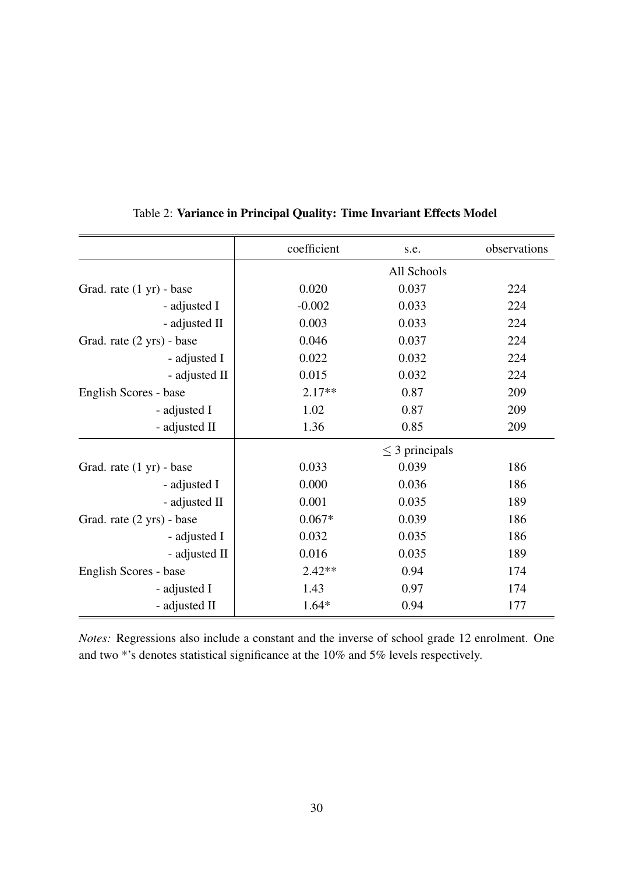|                           | coefficient | s.e.                | observations |
|---------------------------|-------------|---------------------|--------------|
|                           |             | All Schools         |              |
| Grad. rate (1 yr) - base  | 0.020       | 0.037               | 224          |
| - adjusted I              | $-0.002$    | 0.033               | 224          |
| - adjusted II             | 0.003       | 0.033               | 224          |
| Grad. rate (2 yrs) - base | 0.046       | 0.037               | 224          |
| - adjusted I              | 0.022       | 0.032               | 224          |
| - adjusted II             | 0.015       | 0.032               | 224          |
| English Scores - base     | $2.17**$    | 0.87                | 209          |
| - adjusted I              | 1.02        | 0.87                | 209          |
| - adjusted II             | 1.36        | 0.85                | 209          |
|                           |             | $\leq$ 3 principals |              |
| Grad. rate (1 yr) - base  | 0.033       | 0.039               | 186          |
| - adjusted I              | 0.000       | 0.036               | 186          |
| - adjusted II             | 0.001       | 0.035               | 189          |
| Grad. rate (2 yrs) - base | $0.067*$    | 0.039               | 186          |
| - adjusted I              | 0.032       | 0.035               | 186          |
| - adjusted II             | 0.016       | 0.035               | 189          |
| English Scores - base     | $2.42**$    | 0.94                | 174          |
| - adjusted I              | 1.43        | 0.97                | 174          |
| - adjusted II             | $1.64*$     | 0.94                | 177          |

### Table 2: Variance in Principal Quality: Time Invariant Effects Model

*Notes:* Regressions also include a constant and the inverse of school grade 12 enrolment. One and two \*'s denotes statistical significance at the 10% and 5% levels respectively.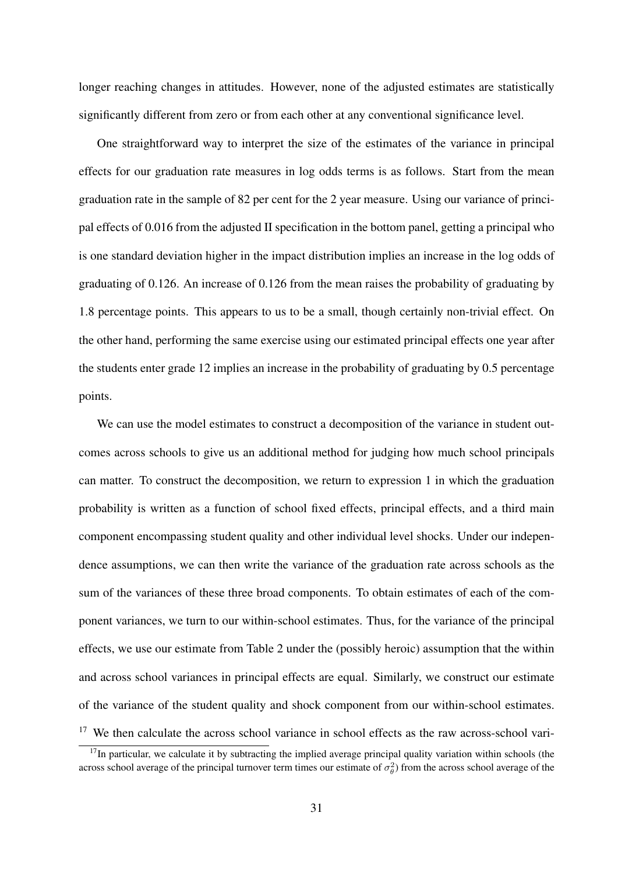longer reaching changes in attitudes. However, none of the adjusted estimates are statistically significantly different from zero or from each other at any conventional significance level.

One straightforward way to interpret the size of the estimates of the variance in principal effects for our graduation rate measures in log odds terms is as follows. Start from the mean graduation rate in the sample of 82 per cent for the 2 year measure. Using our variance of principal effects of 0.016 from the adjusted II specification in the bottom panel, getting a principal who is one standard deviation higher in the impact distribution implies an increase in the log odds of graduating of 0.126. An increase of 0.126 from the mean raises the probability of graduating by 1.8 percentage points. This appears to us to be a small, though certainly non-trivial effect. On the other hand, performing the same exercise using our estimated principal effects one year after the students enter grade 12 implies an increase in the probability of graduating by 0.5 percentage points.

We can use the model estimates to construct a decomposition of the variance in student outcomes across schools to give us an additional method for judging how much school principals can matter. To construct the decomposition, we return to expression 1 in which the graduation probability is written as a function of school fixed effects, principal effects, and a third main component encompassing student quality and other individual level shocks. Under our independence assumptions, we can then write the variance of the graduation rate across schools as the sum of the variances of these three broad components. To obtain estimates of each of the component variances, we turn to our within-school estimates. Thus, for the variance of the principal effects, we use our estimate from Table 2 under the (possibly heroic) assumption that the within and across school variances in principal effects are equal. Similarly, we construct our estimate of the variance of the student quality and shock component from our within-school estimates.  $17$  We then calculate the across school variance in school effects as the raw across-school vari-

 $17$ In particular, we calculate it by subtracting the implied average principal quality variation within schools (the across school average of the principal turnover term times our estimate of  $\sigma_{\theta}^2$ ) from the across school average of the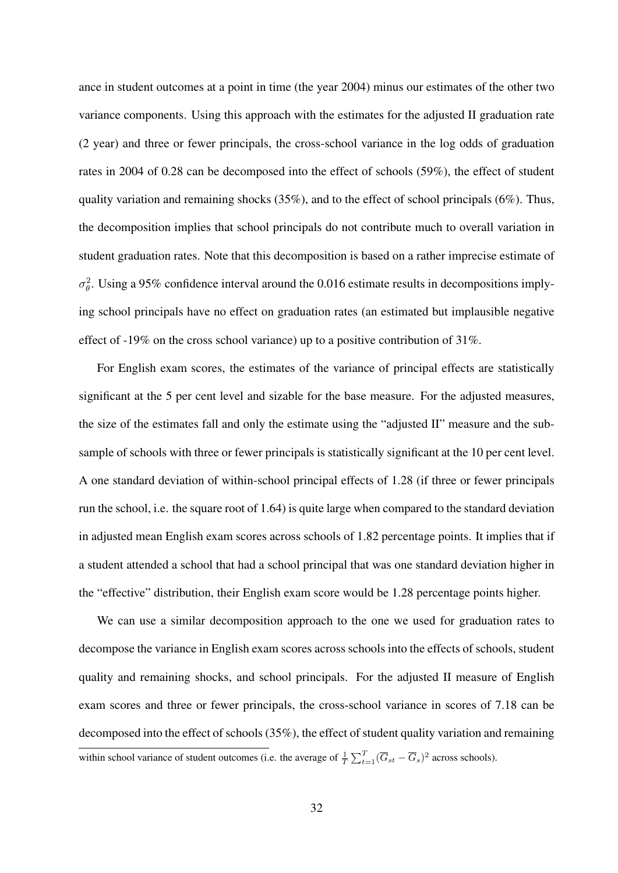ance in student outcomes at a point in time (the year 2004) minus our estimates of the other two variance components. Using this approach with the estimates for the adjusted II graduation rate (2 year) and three or fewer principals, the cross-school variance in the log odds of graduation rates in 2004 of 0.28 can be decomposed into the effect of schools (59%), the effect of student quality variation and remaining shocks (35%), and to the effect of school principals (6%). Thus, the decomposition implies that school principals do not contribute much to overall variation in student graduation rates. Note that this decomposition is based on a rather imprecise estimate of  $\sigma_{\theta}^2$ . Using a 95% confidence interval around the 0.016 estimate results in decompositions implying school principals have no effect on graduation rates (an estimated but implausible negative effect of -19% on the cross school variance) up to a positive contribution of 31%.

For English exam scores, the estimates of the variance of principal effects are statistically significant at the 5 per cent level and sizable for the base measure. For the adjusted measures, the size of the estimates fall and only the estimate using the "adjusted II" measure and the subsample of schools with three or fewer principals is statistically significant at the 10 per cent level. A one standard deviation of within-school principal effects of 1.28 (if three or fewer principals run the school, i.e. the square root of 1.64) is quite large when compared to the standard deviation in adjusted mean English exam scores across schools of 1.82 percentage points. It implies that if a student attended a school that had a school principal that was one standard deviation higher in the "effective" distribution, their English exam score would be 1.28 percentage points higher.

We can use a similar decomposition approach to the one we used for graduation rates to decompose the variance in English exam scores across schools into the effects of schools, student quality and remaining shocks, and school principals. For the adjusted II measure of English exam scores and three or fewer principals, the cross-school variance in scores of 7.18 can be decomposed into the effect of schools (35%), the effect of student quality variation and remaining within school variance of student outcomes (i.e. the average of  $\frac{1}{T} \sum_{t=1}^{T} (\overline{G}_{st} - \overline{G}_{s})^2$  across schools).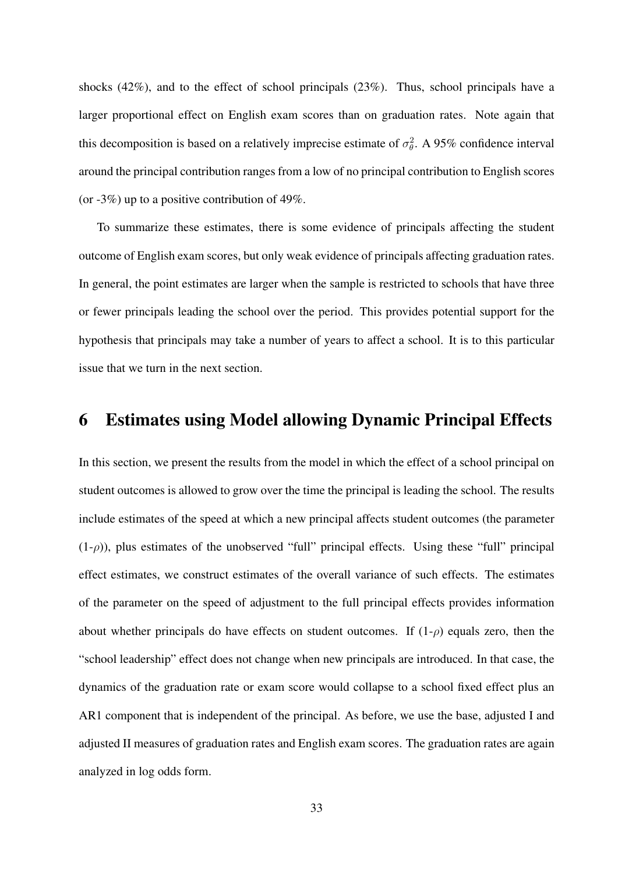shocks (42%), and to the effect of school principals (23%). Thus, school principals have a larger proportional effect on English exam scores than on graduation rates. Note again that this decomposition is based on a relatively imprecise estimate of  $\sigma_{\theta}^2$ . A 95% confidence interval around the principal contribution ranges from a low of no principal contribution to English scores (or  $-3\%$ ) up to a positive contribution of 49%.

To summarize these estimates, there is some evidence of principals affecting the student outcome of English exam scores, but only weak evidence of principals affecting graduation rates. In general, the point estimates are larger when the sample is restricted to schools that have three or fewer principals leading the school over the period. This provides potential support for the hypothesis that principals may take a number of years to affect a school. It is to this particular issue that we turn in the next section.

# 6 Estimates using Model allowing Dynamic Principal Effects

In this section, we present the results from the model in which the effect of a school principal on student outcomes is allowed to grow over the time the principal is leading the school. The results include estimates of the speed at which a new principal affects student outcomes (the parameter  $(1-\rho)$ ), plus estimates of the unobserved "full" principal effects. Using these "full" principal effect estimates, we construct estimates of the overall variance of such effects. The estimates of the parameter on the speed of adjustment to the full principal effects provides information about whether principals do have effects on student outcomes. If (1-*ρ*) equals zero, then the "school leadership" effect does not change when new principals are introduced. In that case, the dynamics of the graduation rate or exam score would collapse to a school fixed effect plus an AR1 component that is independent of the principal. As before, we use the base, adjusted I and adjusted II measures of graduation rates and English exam scores. The graduation rates are again analyzed in log odds form.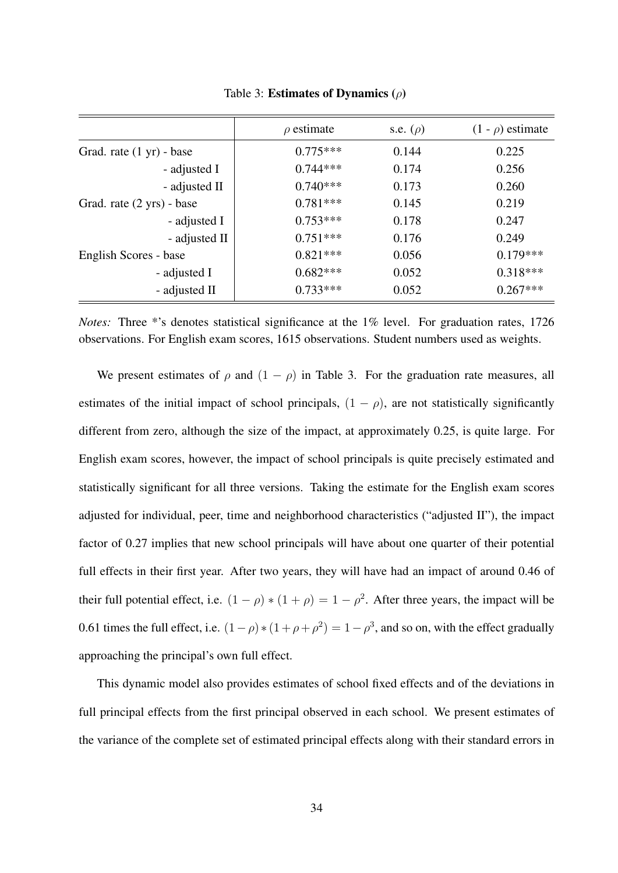|                           | $\rho$ estimate | s.e. $(\rho)$ | $(1 - \rho)$ estimate |
|---------------------------|-----------------|---------------|-----------------------|
| Grad. rate (1 yr) - base  | $0.775***$      | 0.144         | 0.225                 |
| - adjusted I              | $0.744***$      | 0.174         | 0.256                 |
| - adjusted II             | $0.740***$      | 0.173         | 0.260                 |
| Grad. rate (2 yrs) - base | $0.781***$      | 0.145         | 0.219                 |
| - adjusted I              | $0.753***$      | 0.178         | 0.247                 |
| - adjusted II             | $0.751***$      | 0.176         | 0.249                 |
| English Scores - base     | $0.821***$      | 0.056         | $0.179***$            |
| - adjusted I              | $0.682***$      | 0.052         | $0.318***$            |
| - adjusted II             | $0.733***$      | 0.052         | $0.267***$            |

Table 3: Estimates of Dynamics (*ρ*)

*Notes:* Three \*'s denotes statistical significance at the 1% level. For graduation rates, 1726 observations. For English exam scores, 1615 observations. Student numbers used as weights.

We present estimates of  $\rho$  and  $(1 - \rho)$  in Table 3. For the graduation rate measures, all estimates of the initial impact of school principals,  $(1 - \rho)$ , are not statistically significantly different from zero, although the size of the impact, at approximately 0.25, is quite large. For English exam scores, however, the impact of school principals is quite precisely estimated and statistically significant for all three versions. Taking the estimate for the English exam scores adjusted for individual, peer, time and neighborhood characteristics ("adjusted II"), the impact factor of 0.27 implies that new school principals will have about one quarter of their potential full effects in their first year. After two years, they will have had an impact of around 0.46 of their full potential effect, i.e.  $(1 - \rho) * (1 + \rho) = 1 - \rho^2$ . After three years, the impact will be 0.61 times the full effect, i.e.  $(1 - \rho) * (1 + \rho + \rho^2) = 1 - \rho^3$ , and so on, with the effect gradually approaching the principal's own full effect.

This dynamic model also provides estimates of school fixed effects and of the deviations in full principal effects from the first principal observed in each school. We present estimates of the variance of the complete set of estimated principal effects along with their standard errors in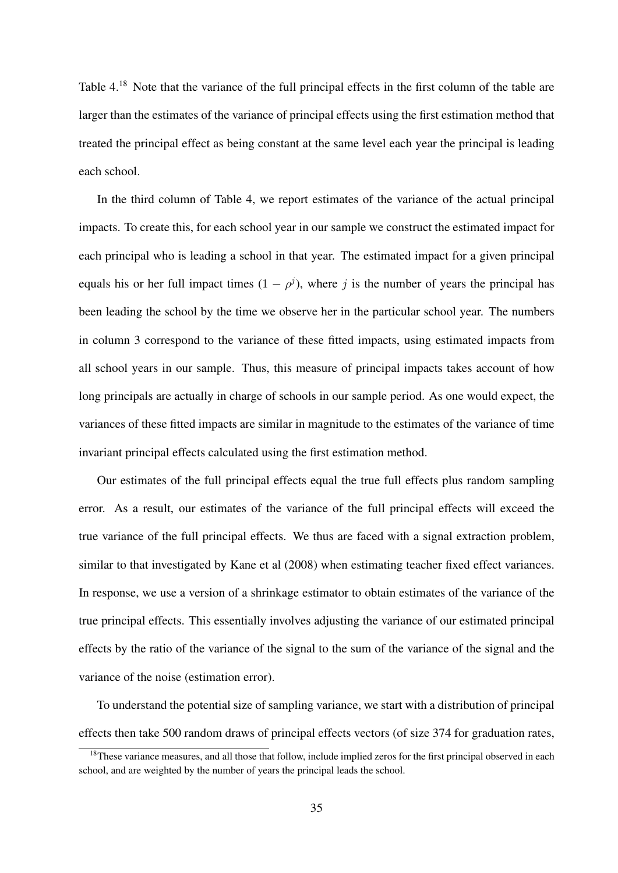Table 4.<sup>18</sup> Note that the variance of the full principal effects in the first column of the table are larger than the estimates of the variance of principal effects using the first estimation method that treated the principal effect as being constant at the same level each year the principal is leading each school.

In the third column of Table 4, we report estimates of the variance of the actual principal impacts. To create this, for each school year in our sample we construct the estimated impact for each principal who is leading a school in that year. The estimated impact for a given principal equals his or her full impact times  $(1 - \rho^j)$ , where *j* is the number of years the principal has been leading the school by the time we observe her in the particular school year. The numbers in column 3 correspond to the variance of these fitted impacts, using estimated impacts from all school years in our sample. Thus, this measure of principal impacts takes account of how long principals are actually in charge of schools in our sample period. As one would expect, the variances of these fitted impacts are similar in magnitude to the estimates of the variance of time invariant principal effects calculated using the first estimation method.

Our estimates of the full principal effects equal the true full effects plus random sampling error. As a result, our estimates of the variance of the full principal effects will exceed the true variance of the full principal effects. We thus are faced with a signal extraction problem, similar to that investigated by Kane et al (2008) when estimating teacher fixed effect variances. In response, we use a version of a shrinkage estimator to obtain estimates of the variance of the true principal effects. This essentially involves adjusting the variance of our estimated principal effects by the ratio of the variance of the signal to the sum of the variance of the signal and the variance of the noise (estimation error).

To understand the potential size of sampling variance, we start with a distribution of principal effects then take 500 random draws of principal effects vectors (of size 374 for graduation rates,

 $18$ These variance measures, and all those that follow, include implied zeros for the first principal observed in each school, and are weighted by the number of years the principal leads the school.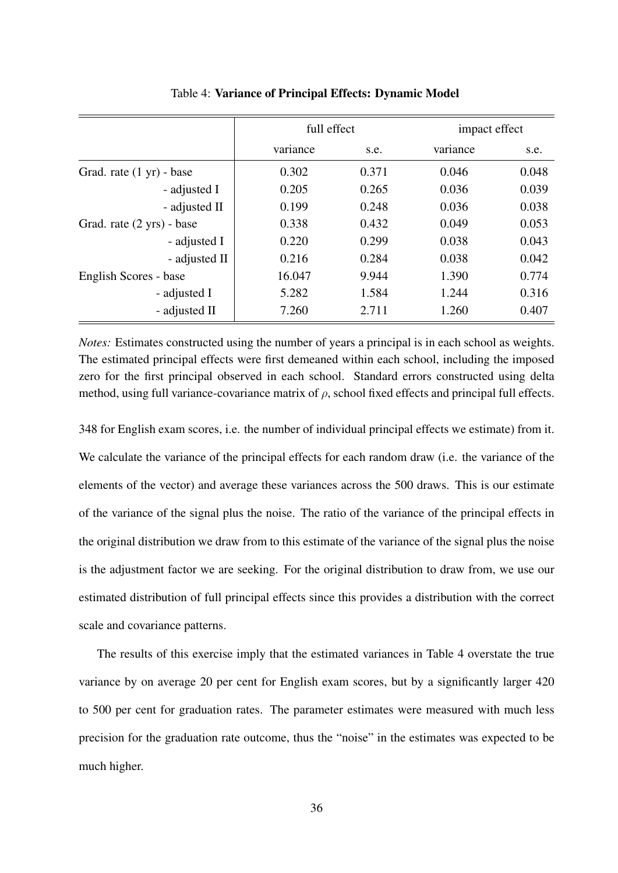|                           |          | full effect | impact effect |       |
|---------------------------|----------|-------------|---------------|-------|
|                           | variance | s.e.        | variance      | s.e.  |
| Grad. rate (1 yr) - base  | 0.302    | 0.371       | 0.046         | 0.048 |
| - adjusted I              | 0.205    | 0.265       | 0.036         | 0.039 |
| - adjusted II             | 0.199    | 0.248       | 0.036         | 0.038 |
| Grad. rate (2 yrs) - base | 0.338    | 0.432       | 0.049         | 0.053 |
| - adjusted I              | 0.220    | 0.299       | 0.038         | 0.043 |
| - adjusted II             | 0.216    | 0.284       | 0.038         | 0.042 |
| English Scores - base     | 16.047   | 9.944       | 1.390         | 0.774 |
| - adjusted I              | 5.282    | 1.584       | 1.244         | 0.316 |
| - adjusted II             | 7.260    | 2.711       | 1.260         | 0.407 |

Table 4: Variance of Principal Effects: Dynamic Model

*Notes:* Estimates constructed using the number of years a principal is in each school as weights. The estimated principal effects were first demeaned within each school, including the imposed zero for the first principal observed in each school. Standard errors constructed using delta method, using full variance-covariance matrix of *ρ*, school fixed effects and principal full effects.

348 for English exam scores, i.e. the number of individual principal effects we estimate) from it. We calculate the variance of the principal effects for each random draw (i.e. the variance of the elements of the vector) and average these variances across the 500 draws. This is our estimate of the variance of the signal plus the noise. The ratio of the variance of the principal effects in the original distribution we draw from to this estimate of the variance of the signal plus the noise is the adjustment factor we are seeking. For the original distribution to draw from, we use our estimated distribution of full principal effects since this provides a distribution with the correct scale and covariance patterns.

The results of this exercise imply that the estimated variances in Table 4 overstate the true variance by on average 20 per cent for English exam scores, but by a significantly larger 420 to 500 per cent for graduation rates. The parameter estimates were measured with much less precision for the graduation rate outcome, thus the "noise" in the estimates was expected to be much higher.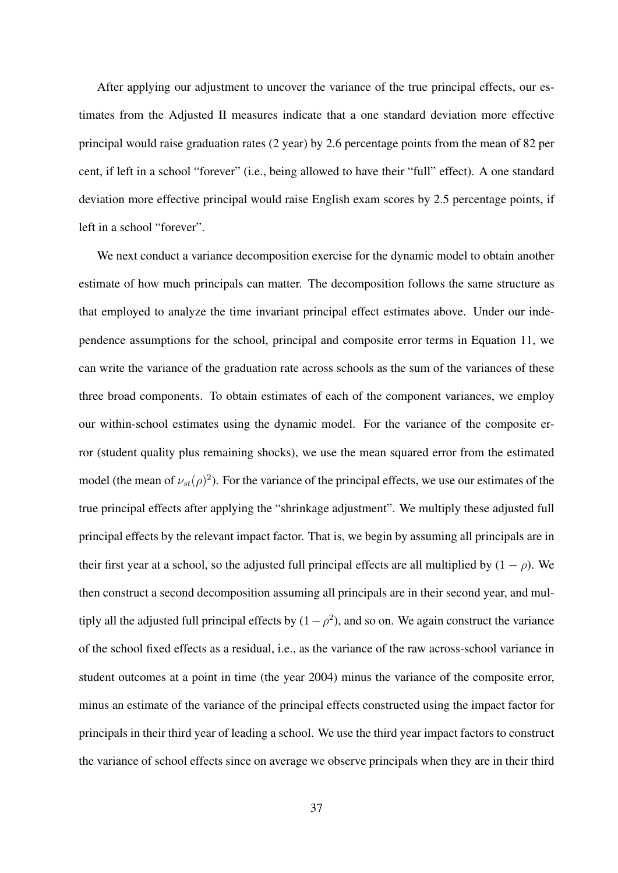After applying our adjustment to uncover the variance of the true principal effects, our estimates from the Adjusted II measures indicate that a one standard deviation more effective principal would raise graduation rates (2 year) by 2.6 percentage points from the mean of 82 per cent, if left in a school "forever" (i.e., being allowed to have their "full" effect). A one standard deviation more effective principal would raise English exam scores by 2.5 percentage points, if left in a school "forever".

We next conduct a variance decomposition exercise for the dynamic model to obtain another estimate of how much principals can matter. The decomposition follows the same structure as that employed to analyze the time invariant principal effect estimates above. Under our independence assumptions for the school, principal and composite error terms in Equation 11, we can write the variance of the graduation rate across schools as the sum of the variances of these three broad components. To obtain estimates of each of the component variances, we employ our within-school estimates using the dynamic model. For the variance of the composite error (student quality plus remaining shocks), we use the mean squared error from the estimated model (the mean of  $\nu_{st}(\rho)^2$ ). For the variance of the principal effects, we use our estimates of the true principal effects after applying the "shrinkage adjustment". We multiply these adjusted full principal effects by the relevant impact factor. That is, we begin by assuming all principals are in their first year at a school, so the adjusted full principal effects are all multiplied by  $(1 - \rho)$ . We then construct a second decomposition assuming all principals are in their second year, and multiply all the adjusted full principal effects by  $(1 - \rho^2)$ , and so on. We again construct the variance of the school fixed effects as a residual, i.e., as the variance of the raw across-school variance in student outcomes at a point in time (the year 2004) minus the variance of the composite error, minus an estimate of the variance of the principal effects constructed using the impact factor for principals in their third year of leading a school. We use the third year impact factors to construct the variance of school effects since on average we observe principals when they are in their third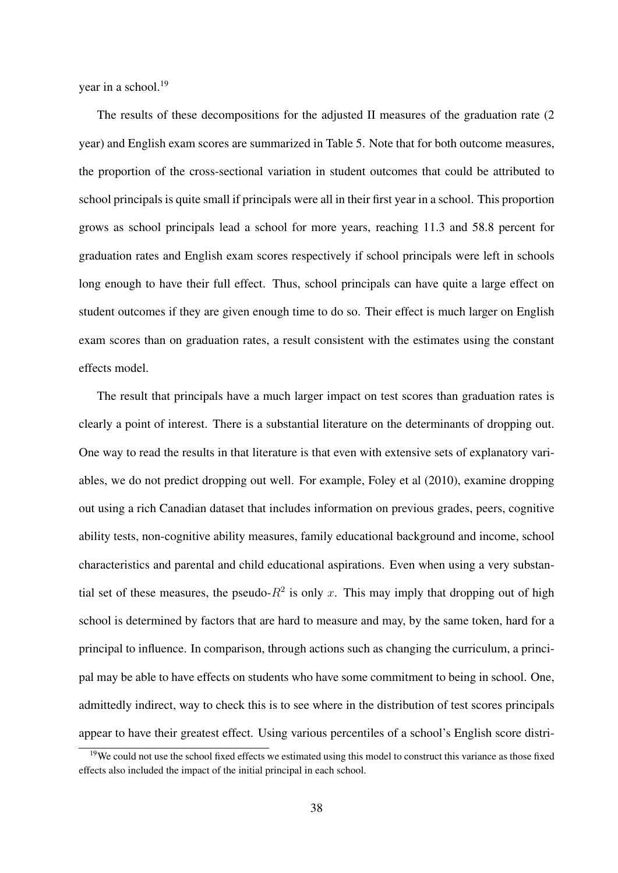year in a school.<sup>19</sup>

The results of these decompositions for the adjusted II measures of the graduation rate (2 year) and English exam scores are summarized in Table 5. Note that for both outcome measures, the proportion of the cross-sectional variation in student outcomes that could be attributed to school principals is quite small if principals were all in their first year in a school. This proportion grows as school principals lead a school for more years, reaching 11.3 and 58.8 percent for graduation rates and English exam scores respectively if school principals were left in schools long enough to have their full effect. Thus, school principals can have quite a large effect on student outcomes if they are given enough time to do so. Their effect is much larger on English exam scores than on graduation rates, a result consistent with the estimates using the constant effects model.

The result that principals have a much larger impact on test scores than graduation rates is clearly a point of interest. There is a substantial literature on the determinants of dropping out. One way to read the results in that literature is that even with extensive sets of explanatory variables, we do not predict dropping out well. For example, Foley et al (2010), examine dropping out using a rich Canadian dataset that includes information on previous grades, peers, cognitive ability tests, non-cognitive ability measures, family educational background and income, school characteristics and parental and child educational aspirations. Even when using a very substantial set of these measures, the pseudo- $R^2$  is only x. This may imply that dropping out of high school is determined by factors that are hard to measure and may, by the same token, hard for a principal to influence. In comparison, through actions such as changing the curriculum, a principal may be able to have effects on students who have some commitment to being in school. One, admittedly indirect, way to check this is to see where in the distribution of test scores principals appear to have their greatest effect. Using various percentiles of a school's English score distri-

 $19$ We could not use the school fixed effects we estimated using this model to construct this variance as those fixed effects also included the impact of the initial principal in each school.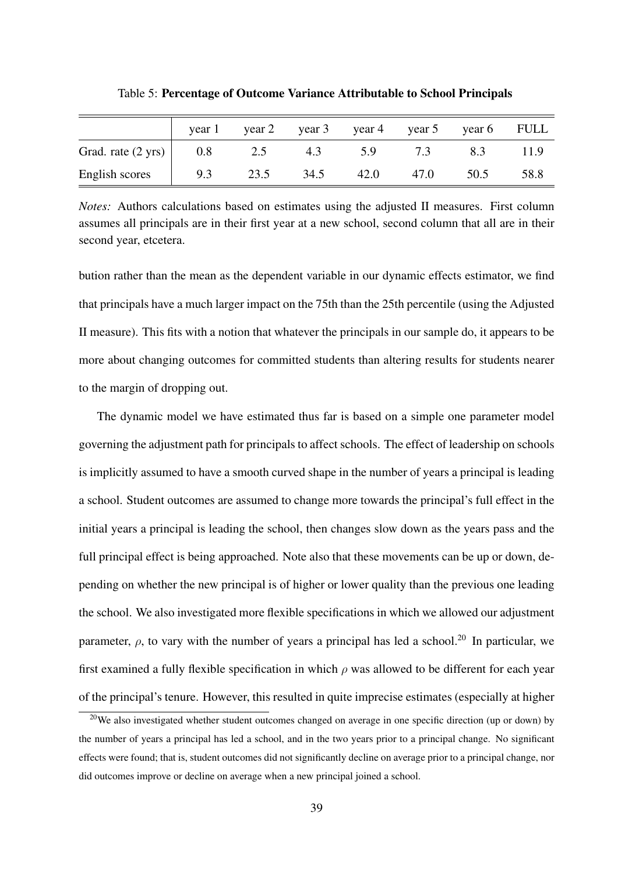|                              | year 1 | year 2 |      | year 3 year 4 | year 5 | year 6 FULL |      |
|------------------------------|--------|--------|------|---------------|--------|-------------|------|
| Grad. rate $(2 \text{ yrs})$ | 0.8    | 2.5    | 4.3  | 5.9           | 7.3    |             | 11.9 |
| English scores               | 9.3    | 23.5   | 34.5 | 42.0          | 47.0   | 50.5        | 58.8 |

Table 5: Percentage of Outcome Variance Attributable to School Principals

*Notes:* Authors calculations based on estimates using the adjusted II measures. First column assumes all principals are in their first year at a new school, second column that all are in their second year, etcetera.

bution rather than the mean as the dependent variable in our dynamic effects estimator, we find that principals have a much larger impact on the 75th than the 25th percentile (using the Adjusted II measure). This fits with a notion that whatever the principals in our sample do, it appears to be more about changing outcomes for committed students than altering results for students nearer to the margin of dropping out.

The dynamic model we have estimated thus far is based on a simple one parameter model governing the adjustment path for principals to affect schools. The effect of leadership on schools is implicitly assumed to have a smooth curved shape in the number of years a principal is leading a school. Student outcomes are assumed to change more towards the principal's full effect in the initial years a principal is leading the school, then changes slow down as the years pass and the full principal effect is being approached. Note also that these movements can be up or down, depending on whether the new principal is of higher or lower quality than the previous one leading the school. We also investigated more flexible specifications in which we allowed our adjustment parameter,  $\rho$ , to vary with the number of years a principal has led a school.<sup>20</sup> In particular, we first examined a fully flexible specification in which *ρ* was allowed to be different for each year of the principal's tenure. However, this resulted in quite imprecise estimates (especially at higher

<sup>&</sup>lt;sup>20</sup>We also investigated whether student outcomes changed on average in one specific direction (up or down) by the number of years a principal has led a school, and in the two years prior to a principal change. No significant effects were found; that is, student outcomes did not significantly decline on average prior to a principal change, nor did outcomes improve or decline on average when a new principal joined a school.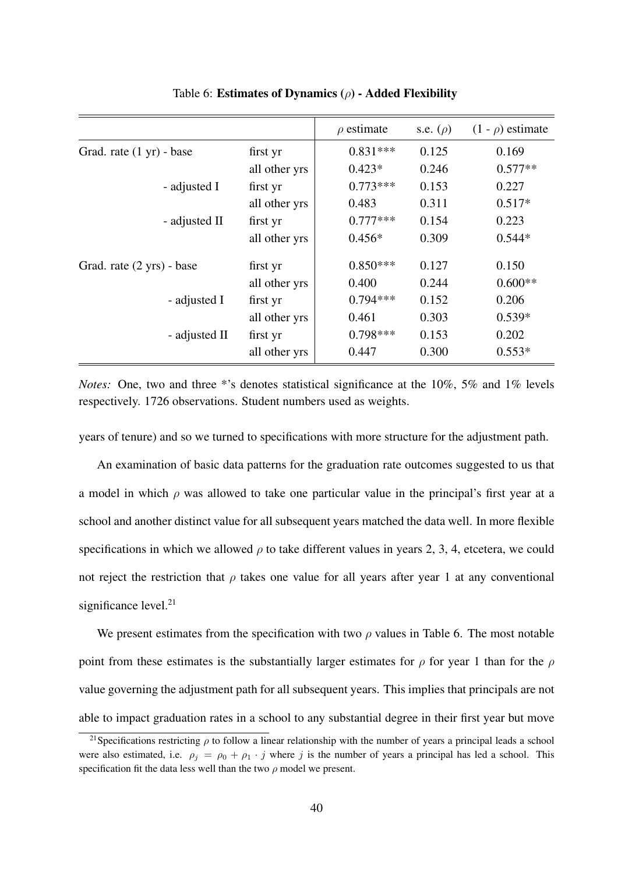|                           |               | $\rho$ estimate | s.e. $(\rho)$ | $(1 - \rho)$ estimate |
|---------------------------|---------------|-----------------|---------------|-----------------------|
| Grad. rate (1 yr) - base  | first yr      | $0.831***$      | 0.125         | 0.169                 |
|                           | all other yrs | $0.423*$        | 0.246         | $0.577**$             |
| - adjusted I              | first yr      | $0.773***$      | 0.153         | 0.227                 |
|                           | all other yrs | 0.483           | 0.311         | $0.517*$              |
| - adjusted II             | first yr      | $0.777***$      | 0.154         | 0.223                 |
|                           | all other yrs | $0.456*$        | 0.309         | $0.544*$              |
| Grad. rate (2 yrs) - base | first yr      | $0.850***$      | 0.127         | 0.150                 |
|                           | all other yrs | 0.400           | 0.244         | $0.600**$             |
| - adjusted I              | first yr      | $0.794***$      | 0.152         | 0.206                 |
|                           | all other yrs | 0.461           | 0.303         | $0.539*$              |
| - adjusted II             | first yr      | $0.798***$      | 0.153         | 0.202                 |
|                           | all other yrs | 0.447           | 0.300         | $0.553*$              |

Table 6: Estimates of Dynamics (*ρ*) - Added Flexibility

*Notes:* One, two and three \*'s denotes statistical significance at the 10%, 5% and 1% levels respectively. 1726 observations. Student numbers used as weights.

years of tenure) and so we turned to specifications with more structure for the adjustment path.

An examination of basic data patterns for the graduation rate outcomes suggested to us that a model in which *ρ* was allowed to take one particular value in the principal's first year at a school and another distinct value for all subsequent years matched the data well. In more flexible specifications in which we allowed  $\rho$  to take different values in years 2, 3, 4, etcetera, we could not reject the restriction that  $\rho$  takes one value for all years after year 1 at any conventional significance level. $21$ 

We present estimates from the specification with two  $\rho$  values in Table 6. The most notable point from these estimates is the substantially larger estimates for *ρ* for year 1 than for the *ρ* value governing the adjustment path for all subsequent years. This implies that principals are not able to impact graduation rates in a school to any substantial degree in their first year but move

<sup>&</sup>lt;sup>21</sup>Specifications restricting  $\rho$  to follow a linear relationship with the number of years a principal leads a school were also estimated, i.e.  $\rho_i = \rho_0 + \rho_1 \cdot j$  where *j* is the number of years a principal has led a school. This specification fit the data less well than the two *ρ* model we present.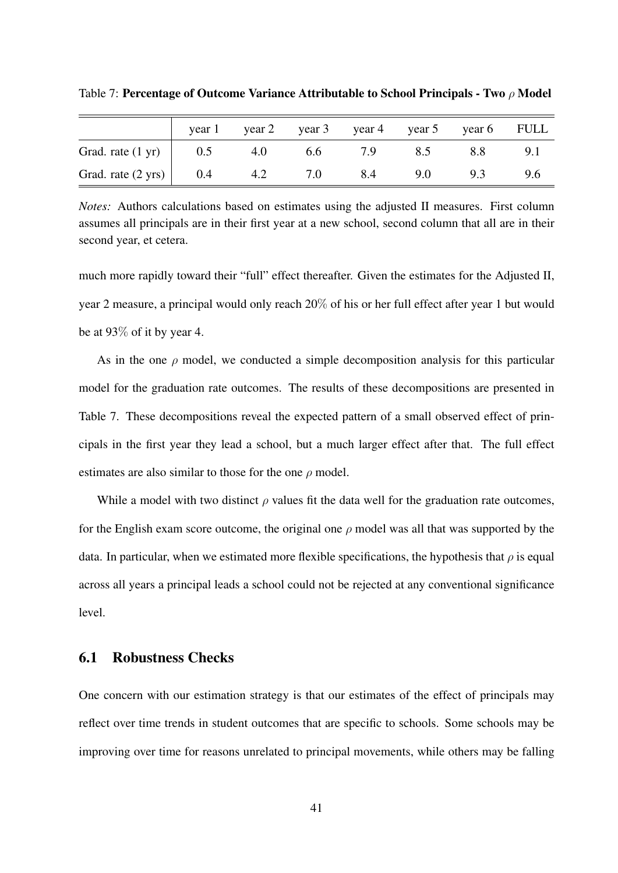|                                    | year 1 |     | year 2 year 3 year 4 year 5 year 6 FULL |     |     |     |     |
|------------------------------------|--------|-----|-----------------------------------------|-----|-----|-----|-----|
| Grad. rate $(1 \text{ yr})$ 0.5    |        | 4.0 | 6.6                                     | 7.9 | 8.5 | 8.8 | 9.1 |
| Grad. rate $(2 \text{ yrs})$   0.4 |        | 4.2 | 7.0                                     | 8.4 | 9.0 | 9.3 | 9.6 |

Table 7: Percentage of Outcome Variance Attributable to School Principals - Two *ρ* Model

*Notes:* Authors calculations based on estimates using the adjusted II measures. First column assumes all principals are in their first year at a new school, second column that all are in their second year, et cetera.

much more rapidly toward their "full" effect thereafter. Given the estimates for the Adjusted II, year 2 measure, a principal would only reach 20% of his or her full effect after year 1 but would be at 93% of it by year 4.

As in the one  $\rho$  model, we conducted a simple decomposition analysis for this particular model for the graduation rate outcomes. The results of these decompositions are presented in Table 7. These decompositions reveal the expected pattern of a small observed effect of principals in the first year they lead a school, but a much larger effect after that. The full effect estimates are also similar to those for the one *ρ* model.

While a model with two distinct  $\rho$  values fit the data well for the graduation rate outcomes, for the English exam score outcome, the original one  $\rho$  model was all that was supported by the data. In particular, when we estimated more flexible specifications, the hypothesis that  $\rho$  is equal across all years a principal leads a school could not be rejected at any conventional significance level.

#### 6.1 Robustness Checks

One concern with our estimation strategy is that our estimates of the effect of principals may reflect over time trends in student outcomes that are specific to schools. Some schools may be improving over time for reasons unrelated to principal movements, while others may be falling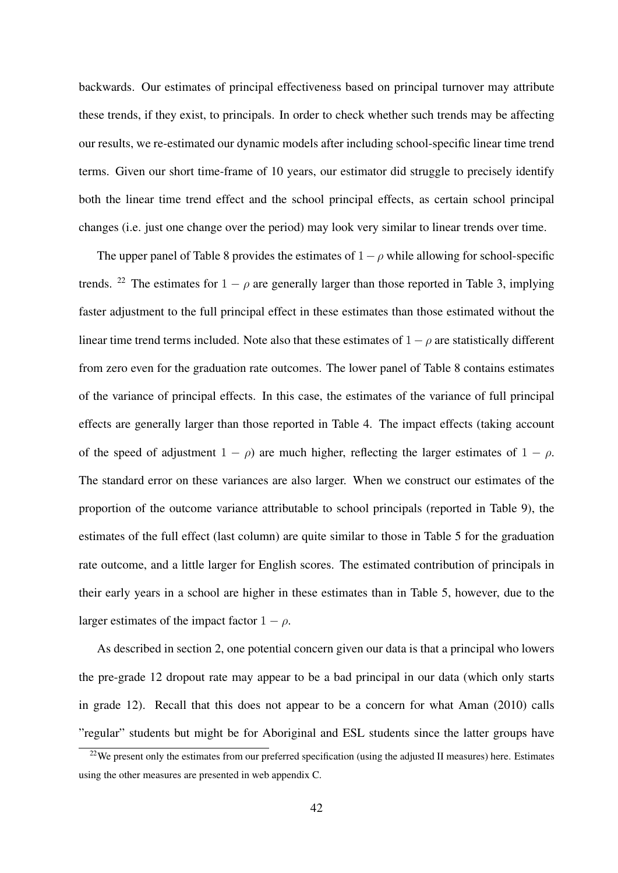backwards. Our estimates of principal effectiveness based on principal turnover may attribute these trends, if they exist, to principals. In order to check whether such trends may be affecting our results, we re-estimated our dynamic models after including school-specific linear time trend terms. Given our short time-frame of 10 years, our estimator did struggle to precisely identify both the linear time trend effect and the school principal effects, as certain school principal changes (i.e. just one change over the period) may look very similar to linear trends over time.

The upper panel of Table 8 provides the estimates of 1*−ρ* while allowing for school-specific trends. <sup>22</sup> The estimates for  $1 - \rho$  are generally larger than those reported in Table 3, implying faster adjustment to the full principal effect in these estimates than those estimated without the linear time trend terms included. Note also that these estimates of  $1 - \rho$  are statistically different from zero even for the graduation rate outcomes. The lower panel of Table 8 contains estimates of the variance of principal effects. In this case, the estimates of the variance of full principal effects are generally larger than those reported in Table 4. The impact effects (taking account of the speed of adjustment  $1 - \rho$ ) are much higher, reflecting the larger estimates of  $1 - \rho$ . The standard error on these variances are also larger. When we construct our estimates of the proportion of the outcome variance attributable to school principals (reported in Table 9), the estimates of the full effect (last column) are quite similar to those in Table 5 for the graduation rate outcome, and a little larger for English scores. The estimated contribution of principals in their early years in a school are higher in these estimates than in Table 5, however, due to the larger estimates of the impact factor  $1 - \rho$ .

As described in section 2, one potential concern given our data is that a principal who lowers the pre-grade 12 dropout rate may appear to be a bad principal in our data (which only starts in grade 12). Recall that this does not appear to be a concern for what Aman (2010) calls "regular" students but might be for Aboriginal and ESL students since the latter groups have

 $^{22}$ We present only the estimates from our preferred specification (using the adjusted II measures) here. Estimates using the other measures are presented in web appendix C.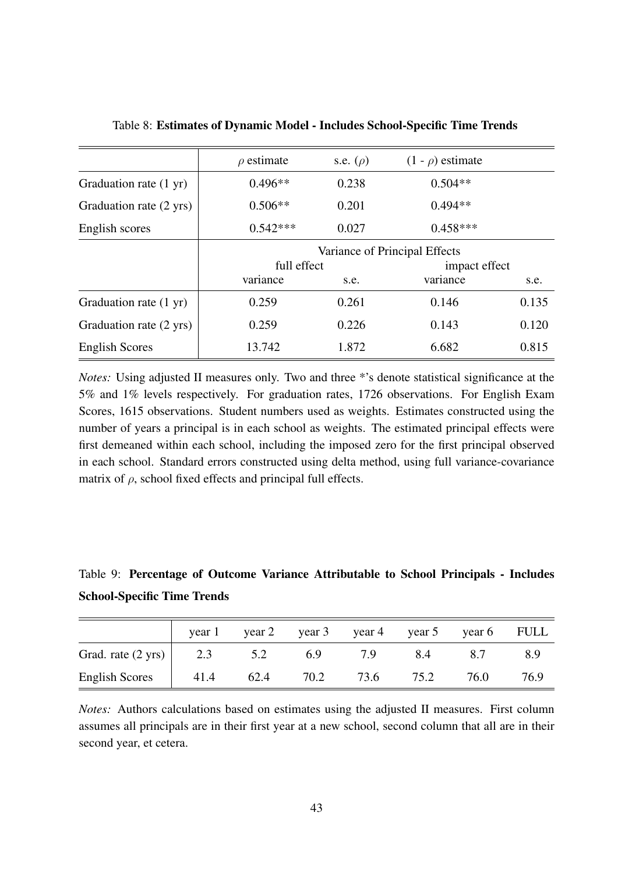|                         | $\rho$ estimate               | s.e. $(\rho)$ | $(1 - \rho)$ estimate |       |  |  |
|-------------------------|-------------------------------|---------------|-----------------------|-------|--|--|
| Graduation rate (1 yr)  | $0.496**$                     | 0.238         | $0.504**$             |       |  |  |
| Graduation rate (2 yrs) | $0.506**$                     | 0.201         | $0.494**$             |       |  |  |
| English scores          | $0.542***$                    | 0.027         | $0.458***$            |       |  |  |
|                         | Variance of Principal Effects |               |                       |       |  |  |
|                         | full effect                   |               | impact effect         |       |  |  |
|                         | variance                      | s.e.          | variance              | s.e.  |  |  |
| Graduation rate (1 yr)  | 0.259                         | 0.261         | 0.146                 | 0.135 |  |  |
| Graduation rate (2 yrs) | 0.259                         | 0.226         | 0.143                 | 0.120 |  |  |
| <b>English Scores</b>   | 13.742                        | 1.872         | 6.682                 | 0.815 |  |  |

Table 8: Estimates of Dynamic Model - Includes School-Specific Time Trends

*Notes:* Using adjusted II measures only. Two and three \*'s denote statistical significance at the 5% and 1% levels respectively. For graduation rates, 1726 observations. For English Exam Scores, 1615 observations. Student numbers used as weights. Estimates constructed using the number of years a principal is in each school as weights. The estimated principal effects were first demeaned within each school, including the imposed zero for the first principal observed in each school. Standard errors constructed using delta method, using full variance-covariance matrix of *ρ*, school fixed effects and principal full effects.

Table 9: Percentage of Outcome Variance Attributable to School Principals - Includes School-Specific Time Trends

|                              | year 1      | year 2 year 3 year 4 year 5 year 6 FULL |      |      |      |      |      |
|------------------------------|-------------|-----------------------------------------|------|------|------|------|------|
| Grad. rate $(2 \text{ yrs})$ | $\vert$ 2.3 | 5.2                                     | 6.9  | 7.9  | 8.4  | 8.7  | 8.9  |
| English Scores   41.4        |             | 62.4                                    | 70.2 | 73.6 | 75.2 | 76.0 | 76.9 |

*Notes:* Authors calculations based on estimates using the adjusted II measures. First column assumes all principals are in their first year at a new school, second column that all are in their second year, et cetera.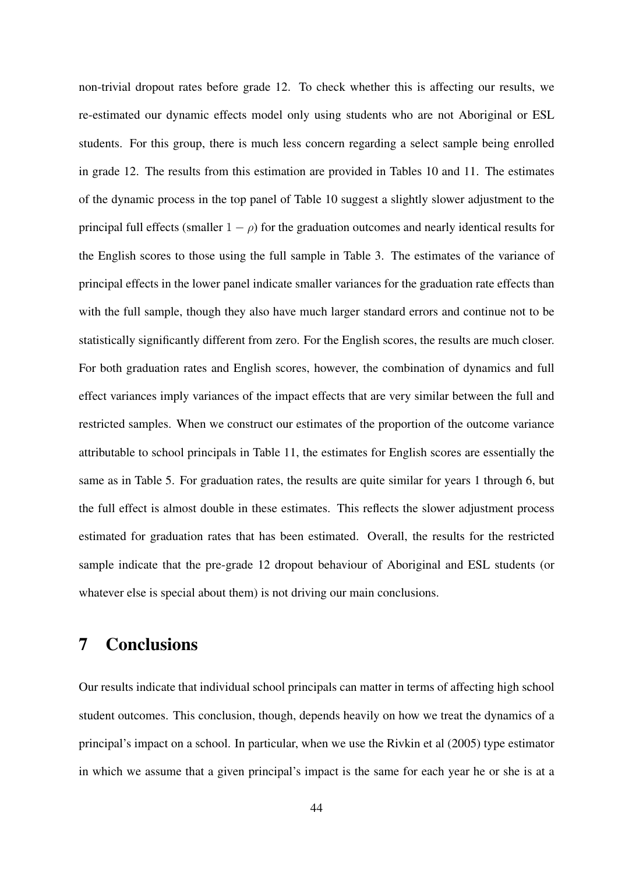non-trivial dropout rates before grade 12. To check whether this is affecting our results, we re-estimated our dynamic effects model only using students who are not Aboriginal or ESL students. For this group, there is much less concern regarding a select sample being enrolled in grade 12. The results from this estimation are provided in Tables 10 and 11. The estimates of the dynamic process in the top panel of Table 10 suggest a slightly slower adjustment to the principal full effects (smaller  $1 - \rho$ ) for the graduation outcomes and nearly identical results for the English scores to those using the full sample in Table 3. The estimates of the variance of principal effects in the lower panel indicate smaller variances for the graduation rate effects than with the full sample, though they also have much larger standard errors and continue not to be statistically significantly different from zero. For the English scores, the results are much closer. For both graduation rates and English scores, however, the combination of dynamics and full effect variances imply variances of the impact effects that are very similar between the full and restricted samples. When we construct our estimates of the proportion of the outcome variance attributable to school principals in Table 11, the estimates for English scores are essentially the same as in Table 5. For graduation rates, the results are quite similar for years 1 through 6, but the full effect is almost double in these estimates. This reflects the slower adjustment process estimated for graduation rates that has been estimated. Overall, the results for the restricted sample indicate that the pre-grade 12 dropout behaviour of Aboriginal and ESL students (or whatever else is special about them) is not driving our main conclusions.

# 7 Conclusions

Our results indicate that individual school principals can matter in terms of affecting high school student outcomes. This conclusion, though, depends heavily on how we treat the dynamics of a principal's impact on a school. In particular, when we use the Rivkin et al (2005) type estimator in which we assume that a given principal's impact is the same for each year he or she is at a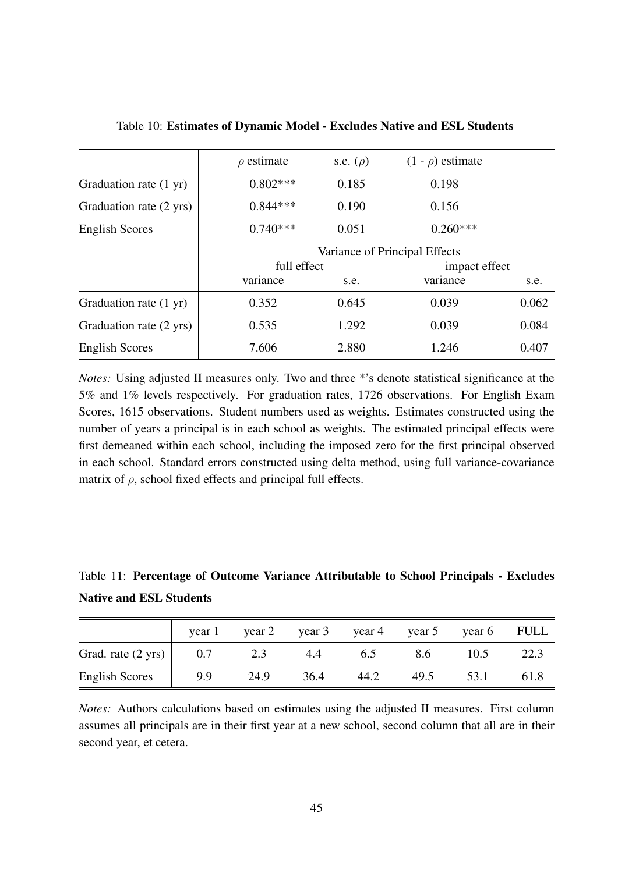|                         | $\rho$ estimate               | s.e. $(\rho)$ | $(1 - \rho)$ estimate |       |  |  |
|-------------------------|-------------------------------|---------------|-----------------------|-------|--|--|
| Graduation rate (1 yr)  | $0.802***$                    | 0.185         | 0.198                 |       |  |  |
| Graduation rate (2 yrs) | $0.844***$                    | 0.190         | 0.156                 |       |  |  |
| <b>English Scores</b>   | $0.740***$                    | 0.051         | $0.260***$            |       |  |  |
|                         | Variance of Principal Effects |               |                       |       |  |  |
|                         | full effect                   |               | impact effect         |       |  |  |
|                         | variance                      | s.e.          | variance              | s.e.  |  |  |
| Graduation rate (1 yr)  | 0.352                         | 0.645         | 0.039                 | 0.062 |  |  |
| Graduation rate (2 yrs) | 0.535                         | 1.292         | 0.039                 | 0.084 |  |  |
| <b>English Scores</b>   | 7.606                         | 2.880         | 1.246                 | 0.407 |  |  |

Table 10: Estimates of Dynamic Model - Excludes Native and ESL Students

*Notes:* Using adjusted II measures only. Two and three \*'s denote statistical significance at the 5% and 1% levels respectively. For graduation rates, 1726 observations. For English Exam Scores, 1615 observations. Student numbers used as weights. Estimates constructed using the number of years a principal is in each school as weights. The estimated principal effects were first demeaned within each school, including the imposed zero for the first principal observed in each school. Standard errors constructed using delta method, using full variance-covariance matrix of *ρ*, school fixed effects and principal full effects.

Table 11: Percentage of Outcome Variance Attributable to School Principals - Excludes Native and ESL Students

|                       | year 1 | year 2 |      | year $3$ year $4$ | year 5 |      | year 6 FULL |
|-----------------------|--------|--------|------|-------------------|--------|------|-------------|
| Grad. rate (2 yrs)    | 0.7    | 2.3    | 4.4  | 0.5               | 8.6    | 10.5 |             |
| <b>English Scores</b> | 9.9    | 24.9   | 36.4 | 44.2              | 49.5   | 53.1 | 61.8        |

*Notes:* Authors calculations based on estimates using the adjusted II measures. First column assumes all principals are in their first year at a new school, second column that all are in their second year, et cetera.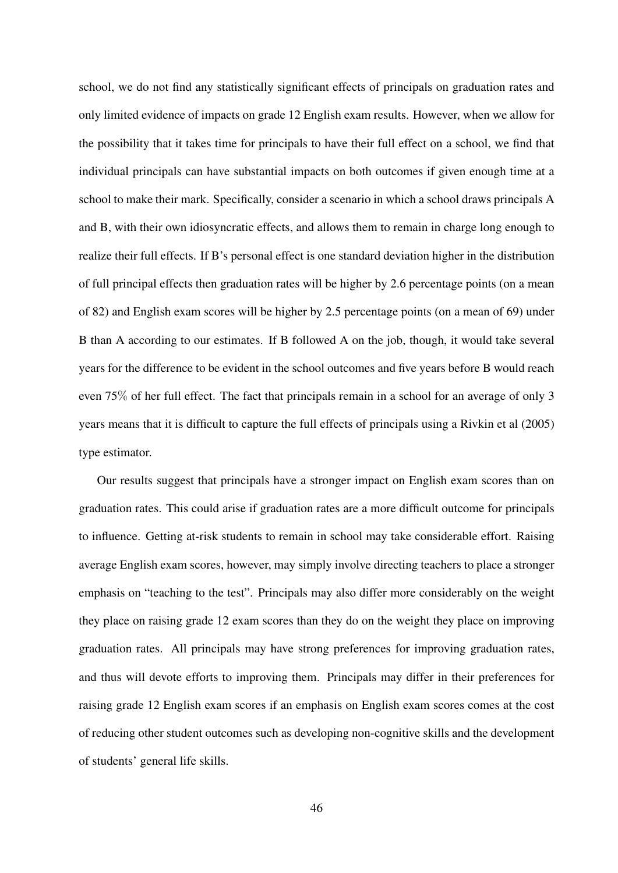school, we do not find any statistically significant effects of principals on graduation rates and only limited evidence of impacts on grade 12 English exam results. However, when we allow for the possibility that it takes time for principals to have their full effect on a school, we find that individual principals can have substantial impacts on both outcomes if given enough time at a school to make their mark. Specifically, consider a scenario in which a school draws principals A and B, with their own idiosyncratic effects, and allows them to remain in charge long enough to realize their full effects. If B's personal effect is one standard deviation higher in the distribution of full principal effects then graduation rates will be higher by 2.6 percentage points (on a mean of 82) and English exam scores will be higher by 2.5 percentage points (on a mean of 69) under B than A according to our estimates. If B followed A on the job, though, it would take several years for the difference to be evident in the school outcomes and five years before B would reach even 75% of her full effect. The fact that principals remain in a school for an average of only 3 years means that it is difficult to capture the full effects of principals using a Rivkin et al (2005) type estimator.

Our results suggest that principals have a stronger impact on English exam scores than on graduation rates. This could arise if graduation rates are a more difficult outcome for principals to influence. Getting at-risk students to remain in school may take considerable effort. Raising average English exam scores, however, may simply involve directing teachers to place a stronger emphasis on "teaching to the test". Principals may also differ more considerably on the weight they place on raising grade 12 exam scores than they do on the weight they place on improving graduation rates. All principals may have strong preferences for improving graduation rates, and thus will devote efforts to improving them. Principals may differ in their preferences for raising grade 12 English exam scores if an emphasis on English exam scores comes at the cost of reducing other student outcomes such as developing non-cognitive skills and the development of students' general life skills.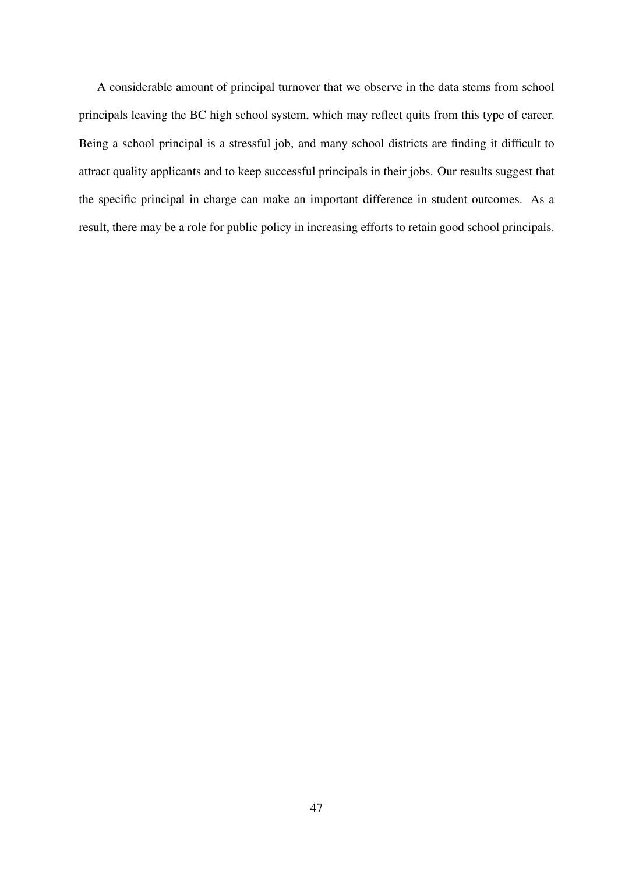A considerable amount of principal turnover that we observe in the data stems from school principals leaving the BC high school system, which may reflect quits from this type of career. Being a school principal is a stressful job, and many school districts are finding it difficult to attract quality applicants and to keep successful principals in their jobs. Our results suggest that the specific principal in charge can make an important difference in student outcomes. As a result, there may be a role for public policy in increasing efforts to retain good school principals.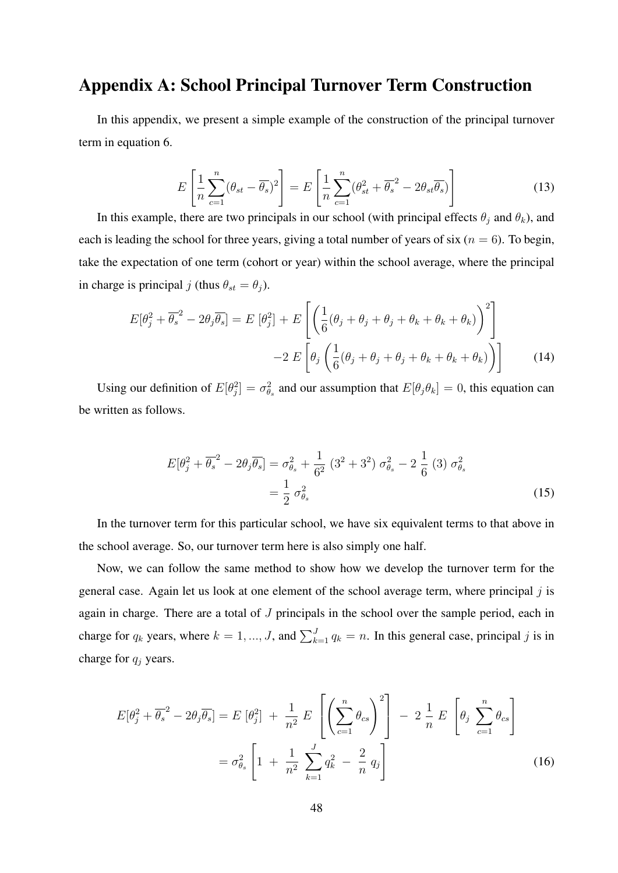## Appendix A: School Principal Turnover Term Construction

In this appendix, we present a simple example of the construction of the principal turnover term in equation 6.

$$
E\left[\frac{1}{n}\sum_{c=1}^{n}(\theta_{st}-\overline{\theta_s})^2\right] = E\left[\frac{1}{n}\sum_{c=1}^{n}(\theta_{st}^2+\overline{\theta_s}^2-2\theta_{st}\overline{\theta_s})\right]
$$
(13)

In this example, there are two principals in our school (with principal effects  $\theta_j$  and  $\theta_k$ ), and each is leading the school for three years, giving a total number of years of six ( $n = 6$ ). To begin, take the expectation of one term (cohort or year) within the school average, where the principal in charge is principal *j* (thus  $\theta_{st} = \theta_j$ ).

$$
E[\theta_j^2 + \overline{\theta_s}^2 - 2\theta_j \overline{\theta_s}] = E[\theta_j^2] + E\left[\left(\frac{1}{6}(\theta_j + \theta_j + \theta_k + \theta_k + \theta_k) \right)^2\right]
$$

$$
-2 E\left[\theta_j \left(\frac{1}{6}(\theta_j + \theta_j + \theta_k + \theta_k + \theta_k) \right)\right]
$$
(14)

Using our definition of  $E[\theta_j^2] = \sigma_{\theta_s}^2$  and our assumption that  $E[\theta_j \theta_k] = 0$ , this equation can be written as follows.

$$
E[\theta_j^2 + \overline{\theta_s}^2 - 2\theta_j \overline{\theta_s}] = \sigma_{\theta_s}^2 + \frac{1}{6^2} (3^2 + 3^2) \sigma_{\theta_s}^2 - 2 \frac{1}{6} (3) \sigma_{\theta_s}^2
$$
  
=  $\frac{1}{2} \sigma_{\theta_s}^2$  (15)

In the turnover term for this particular school, we have six equivalent terms to that above in the school average. So, our turnover term here is also simply one half.

Now, we can follow the same method to show how we develop the turnover term for the general case. Again let us look at one element of the school average term, where principal *j* is again in charge. There are a total of *J* principals in the school over the sample period, each in charge for  $q_k$  years, where  $k = 1, ..., J$ , and  $\sum_{k=1}^{J} q_k = n$ . In this general case, principal *j* is in charge for *q<sup>j</sup>* years.

$$
E[\theta_j^2 + \overline{\theta_s}^2 - 2\theta_j \overline{\theta_s}] = E[\theta_j^2] + \frac{1}{n^2} E\left[\left(\sum_{c=1}^n \theta_{cs}\right)^2\right] - 2\frac{1}{n} E\left[\theta_j \sum_{c=1}^n \theta_{cs}\right]
$$

$$
= \sigma_{\theta_s}^2 \left[1 + \frac{1}{n^2} \sum_{k=1}^J q_k^2 - \frac{2}{n} q_j\right]
$$
(16)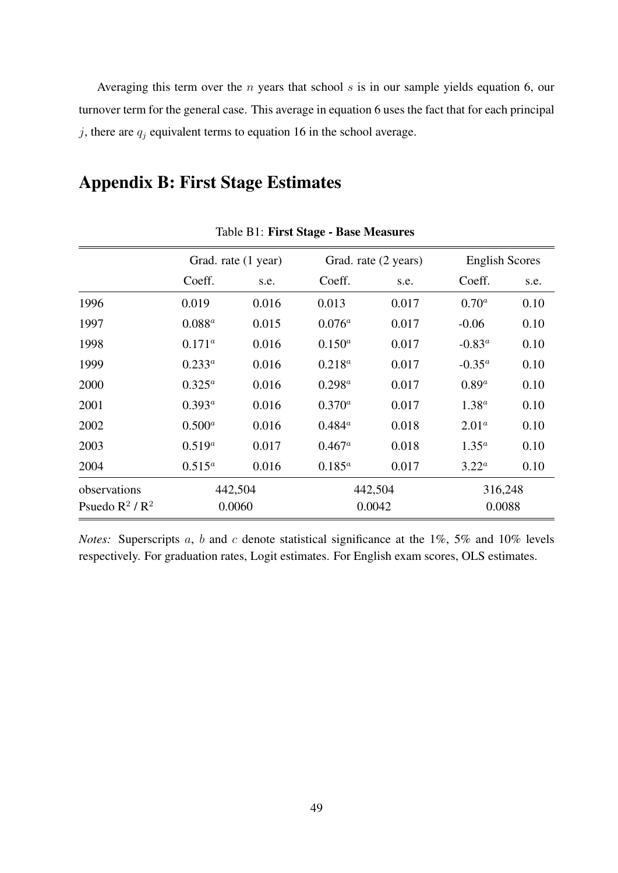Averaging this term over the *n* years that school *s* is in our sample yields equation 6, our turnover term for the general case. This average in equation 6 uses the fact that for each principal  $j$ , there are  $q_j$  equivalent terms to equation 16 in the school average.

# Appendix B: First Stage Estimates

|                  |                 | Grad. rate (1 year) |                 | Grad. rate (2 years) | <b>English Scores</b> |      |
|------------------|-----------------|---------------------|-----------------|----------------------|-----------------------|------|
|                  | Coeff.          | s.e.                | Coeff.          | s.e.                 | Coeff.                | s.e. |
| 1996             | 0.019           | 0.016               | 0.013           | 0.017                | $0.70^a$              | 0.10 |
| 1997             | $0.088^{a}$     | 0.015               | $0.076^a$       | 0.017                | $-0.06$               | 0.10 |
| 1998             | $0.171^{\circ}$ | 0.016               | $0.150^{a}$     | 0.017                | $-0.83^a$             | 0.10 |
| 1999             | $0.233^a$       | 0.016               | $0.218^{a}$     | 0.017                | $-0.35^a$             | 0.10 |
| 2000             | $0.325^a$       | 0.016               | $0.298^a$       | 0.017                | $0.89^a$              | 0.10 |
| 2001             | $0.393^a$       | 0.016               | $0.370^{a}$     | 0.017                | $1.38^{a}$            | 0.10 |
| 2002             | $0.500^{a}$     | 0.016               | $0.484^{a}$     | 0.018                | 2.01 <sup>a</sup>     | 0.10 |
| 2003             | $0.519^{a}$     | 0.017               | $0.467^{\circ}$ | 0.018                | $1.35^a$              | 0.10 |
| 2004             | $0.515^a$       | 0.016               | $0.185^{a}$     | 0.017                | $3.22^a$              | 0.10 |
| observations     |                 | 442,504             |                 | 442,504              | 316,248               |      |
| Psuedo $R^2/R^2$ |                 | 0.0060              | 0.0042          |                      | 0.0088                |      |

Table B1: First Stage - Base Measures

*Notes:* Superscripts *a*, *b* and *c* denote statistical significance at the 1%, 5% and 10% levels respectively. For graduation rates, Logit estimates. For English exam scores, OLS estimates.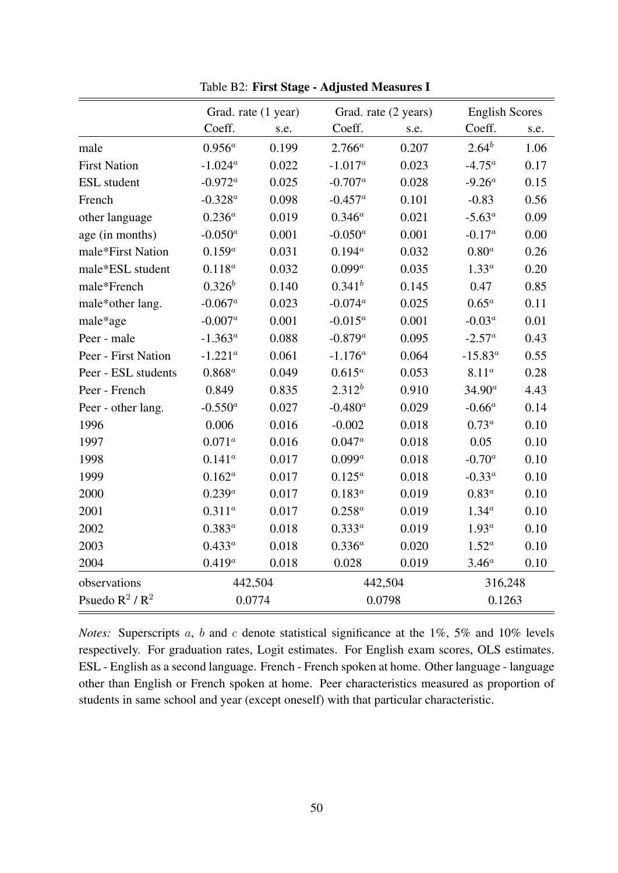|                     | Grad. rate (1 year) |         |                   | Grad. rate (2 years) | <b>English Scores</b> |        |  |
|---------------------|---------------------|---------|-------------------|----------------------|-----------------------|--------|--|
|                     | Coeff.              | s.e.    | Coeff.            | s.e.                 | Coeff.                | s.e.   |  |
| male                | $0.956^a$           | 0.199   | $2.766^a$         | 0.207                | $2.64^{b}$            | 1.06   |  |
| <b>First Nation</b> | $-1.024^a$          | 0.022   | $-1.017^a$        | 0.023                | $-4.75^{\circ}$       | 0.17   |  |
| <b>ESL</b> student  | $-0.972^a$          | 0.025   | $-0.707^a$        | 0.028                | $-9.26^a$             | 0.15   |  |
| French              | $-0.328^{a}$        | 0.098   | $-0.457^a$        | 0.101                | $-0.83$               | 0.56   |  |
| other language      | $0.236^{a}$         | 0.019   | $0.346^{a}$       | 0.021                | $-5.63^a$             | 0.09   |  |
| age (in months)     | $-0.050^a$          | 0.001   | $-0.050^a$        | 0.001                | $-0.17^a$             | 0.00   |  |
| male*First Nation   | $0.159^{a}$         | 0.031   | $0.194^{a}$       | 0.032                | $0.80^a$              | 0.26   |  |
| male*ESL student    | $0.118^a$           | 0.032   | $0.099^a$         | 0.035                | $1.33^a$              | 0.20   |  |
| male*French         | $0.326^b$           | 0.140   | $0.341^{b}$       | 0.145                | 0.47                  | 0.85   |  |
| male*other lang.    | $-0.067^a$          | 0.023   | $-0.074^a$        | 0.025                | $0.65^a$              | 0.11   |  |
| male*age            | $-0.007^a$          | 0.001   | $-0.015^a$        | 0.001                | $-0.03^a$             | 0.01   |  |
| Peer - male         | $-1.363^a$          | 0.088   | $-0.879^a$        | 0.095                | $-2.57^a$             | 0.43   |  |
| Peer - First Nation | $-1.221^a$          | 0.061   | $\text{-}1.176^a$ | 0.064                | $-15.83^{a}$          | 0.55   |  |
| Peer - ESL students | $0.868^a$           | 0.049   | $0.615^a$         | 0.053                | $8.11^a$              | 0.28   |  |
| Peer - French       | 0.849               | 0.835   | $2.312^{b}$       | 0.910                | $34.90^a$             | 4.43   |  |
| Peer - other lang.  | $-0.550^a$          | 0.027   | $-0.480^a$        | 0.029                | $-0.66^a$             | 0.14   |  |
| 1996                | 0.006               | 0.016   | $-0.002$          | 0.018                | $0.73^{\circ}$        | 0.10   |  |
| 1997                | $0.071^{a}$         | 0.016   | $0.047^a$         | 0.018                | 0.05                  | 0.10   |  |
| 1998                | $0.141^a$           | 0.017   | $0.099^a$         | 0.018                | $-0.70^a$             | 0.10   |  |
| 1999                | $0.162^a$           | 0.017   | $0.125^a$         | 0.018                | $-0.33^{a}$           | 0.10   |  |
| 2000                | $0.239^{a}$         | 0.017   | $0.183^a$         | 0.019                | $0.83^a$              | 0.10   |  |
| 2001                | $0.311^{a}$         | 0.017   | $0.258^{a}$       | 0.019                | $1.34^{a}$            | 0.10   |  |
| 2002                | $0.383^{a}$         | 0.018   | $0.333^{a}$       | 0.019                | $1.93^a$              | 0.10   |  |
| 2003                | $0.433^{a}$         | 0.018   | $0.336^{a}$       | 0.020                | $1.52^{\circ}$        | 0.10   |  |
| 2004                | $0.419^{a}$         | 0.018   | 0.028             | 0.019                | $3.46^a$              | 0.10   |  |
| observations        |                     | 442,504 | 442,504           |                      | 316,248               |        |  |
| Psuedo $R^2/R^2$    |                     | 0.0774  |                   | 0.0798               |                       | 0.1263 |  |

Table B2: First Stage - Adjusted Measures I

*Notes:* Superscripts *a*, *b* and *c* denote statistical significance at the 1%, 5% and 10% levels respectively. For graduation rates, Logit estimates. For English exam scores, OLS estimates. ESL - English as a second language. French - French spoken at home. Other language - language other than English or French spoken at home. Peer characteristics measured as proportion of students in same school and year (except oneself) with that particular characteristic.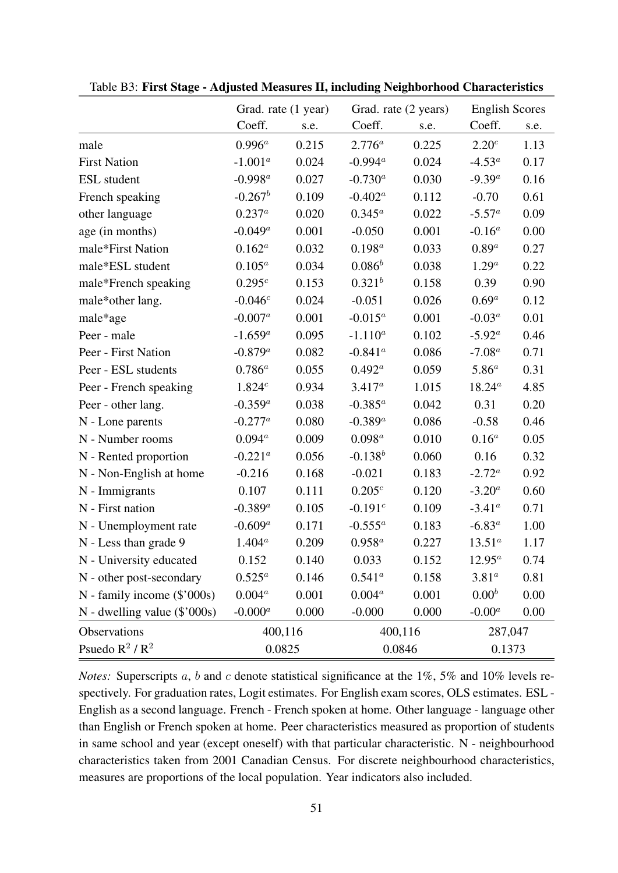|                              | Grad. rate (1 year) |         | Grad. rate (2 years) |         | <b>English Scores</b> |      |
|------------------------------|---------------------|---------|----------------------|---------|-----------------------|------|
|                              | Coeff.              | s.e.    | Coeff.               | s.e.    | Coeff.                | s.e. |
| male                         | $0.996^a$           | 0.215   | $2.776^a$            | 0.225   | 2.20 <sup>c</sup>     | 1.13 |
| <b>First Nation</b>          | $-1.001^a$          | 0.024   | $-0.994^a$           | 0.024   | $-4.53^{\circ}$       | 0.17 |
| <b>ESL</b> student           | $-0.998^a$          | 0.027   | $-0.730^{a}$         | 0.030   | $-9.39^a$             | 0.16 |
| French speaking              | $-0.267^b$          | 0.109   | $-0.402^a$           | 0.112   | $-0.70$               | 0.61 |
| other language               | $0.237^{a}$         | 0.020   | $0.345^a$            | 0.022   | $-5.57^a$             | 0.09 |
| age (in months)              | $-0.049^a$          | 0.001   | $-0.050$             | 0.001   | $-0.16^a$             | 0.00 |
| male*First Nation            | $0.162^a$           | 0.032   | $0.198^{a}$          | 0.033   | $0.89^a$              | 0.27 |
| male*ESL student             | $0.105^a$           | 0.034   | $0.086^b$            | 0.038   | $1.29^a$              | 0.22 |
| male*French speaking         | $0.295^c$           | 0.153   | $0.321^{b}$          | 0.158   | 0.39                  | 0.90 |
| male*other lang.             | $-0.046c$           | 0.024   | $-0.051$             | 0.026   | $0.69^a$              | 0.12 |
| male*age                     | $-0.007^a$          | 0.001   | $-0.015^a$           | 0.001   | $-0.03^a$             | 0.01 |
| Peer - male                  | $-1.659^a$          | 0.095   | $-1.110^a$           | 0.102   | $-5.92^{\circ}$       | 0.46 |
| Peer - First Nation          | $-0.879^a$          | 0.082   | $-0.841^a$           | 0.086   | $-7.08^a$             | 0.71 |
| Peer - ESL students          | $0.786^{a}$         | 0.055   | $0.492^a$            | 0.059   | $5.86^{a}$            | 0.31 |
| Peer - French speaking       | 1.824c              | 0.934   | $3.417^a$            | 1.015   | $18.24^a$             | 4.85 |
| Peer - other lang.           | $-0.359^{a}$        | 0.038   | $-0.385^a$           | 0.042   | 0.31                  | 0.20 |
| N - Lone parents             | $-0.277^a$          | 0.080   | $-0.389^{a}$         | 0.086   | $-0.58$               | 0.46 |
| N - Number rooms             | $0.094^a$           | 0.009   | $0.098^a$            | 0.010   | $0.16^a$              | 0.05 |
| N - Rented proportion        | $-0.221^a$          | 0.056   | $-0.138^b$           | 0.060   | 0.16                  | 0.32 |
| N - Non-English at home      | $-0.216$            | 0.168   | $-0.021$             | 0.183   | $-2.72^{\circ}$       | 0.92 |
| N - Immigrants               | 0.107               | 0.111   | $0.205^c$            | 0.120   | $-3.20^a$             | 0.60 |
| N - First nation             | $-0.389^{a}$        | 0.105   | $-0.191^{c}$         | 0.109   | $-3.41^{\circ}$       | 0.71 |
| N - Unemployment rate        | $-0.609^a$          | 0.171   | $-0.555^a$           | 0.183   | $-6.83^a$             | 1.00 |
| N - Less than grade 9        | $1.404^a$           | 0.209   | $0.958^a$            | 0.227   | $13.51^a$             | 1.17 |
| N - University educated      | 0.152               | 0.140   | 0.033                | 0.152   | $12.95^a$             | 0.74 |
| N - other post-secondary     | $0.525^a$           | 0.146   | $0.541^a$            | 0.158   | 3.81 <sup>a</sup>     | 0.81 |
| N - family income (\$'000s)  | $0.004^a$           | 0.001   | $0.004^a$            | 0.001   | $0.00^{b}$            | 0.00 |
| N - dwelling value (\$'000s) | $-0.000^a$          | 0.000   | $-0.000$             | 0.000   | $-0.00^a$             | 0.00 |
| Observations                 |                     | 400,116 |                      | 400,116 | 287,047               |      |
| Psuedo $R^2/R^2$             | 0.0825              |         | 0.0846               |         | 0.1373                |      |

Table B3: First Stage - Adjusted Measures II, including Neighborhood Characteristics

*Notes:* Superscripts *a*, *b* and *c* denote statistical significance at the 1%, 5% and 10% levels respectively. For graduation rates, Logit estimates. For English exam scores, OLS estimates. ESL - English as a second language. French - French spoken at home. Other language - language other than English or French spoken at home. Peer characteristics measured as proportion of students in same school and year (except oneself) with that particular characteristic. N - neighbourhood characteristics taken from 2001 Canadian Census. For discrete neighbourhood characteristics, measures are proportions of the local population. Year indicators also included.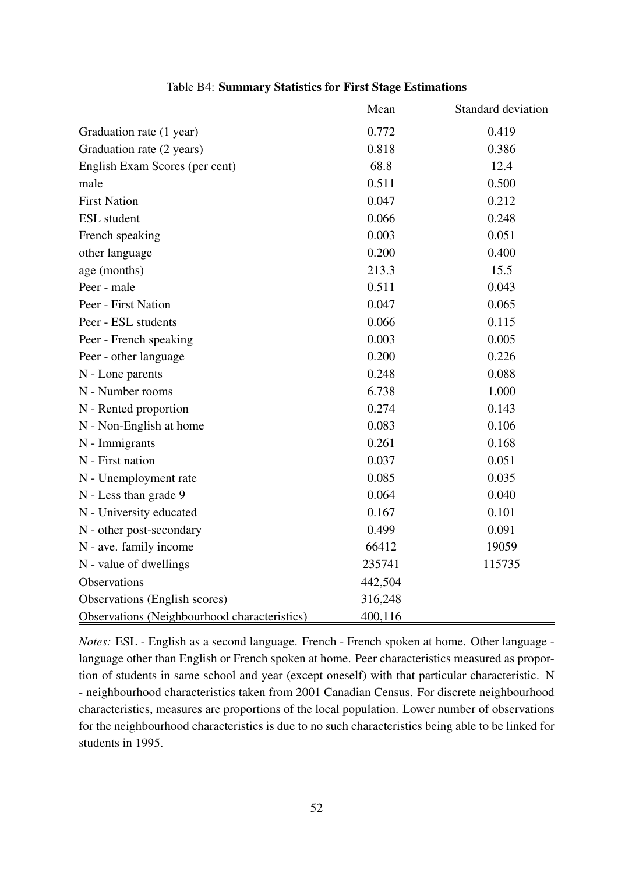|                                              | Mean    | Standard deviation |
|----------------------------------------------|---------|--------------------|
| Graduation rate (1 year)                     | 0.772   | 0.419              |
| Graduation rate (2 years)                    | 0.818   | 0.386              |
| English Exam Scores (per cent)               | 68.8    | 12.4               |
| male                                         | 0.511   | 0.500              |
| <b>First Nation</b>                          | 0.047   | 0.212              |
| <b>ESL</b> student                           | 0.066   | 0.248              |
| French speaking                              | 0.003   | 0.051              |
| other language                               | 0.200   | 0.400              |
| age (months)                                 | 213.3   | 15.5               |
| Peer - male                                  | 0.511   | 0.043              |
| Peer - First Nation                          | 0.047   | 0.065              |
| Peer - ESL students                          | 0.066   | 0.115              |
| Peer - French speaking                       | 0.003   | 0.005              |
| Peer - other language                        | 0.200   | 0.226              |
| N - Lone parents                             | 0.248   | 0.088              |
| N - Number rooms                             | 6.738   | 1.000              |
| N - Rented proportion                        | 0.274   | 0.143              |
| N - Non-English at home                      | 0.083   | 0.106              |
| N - Immigrants                               | 0.261   | 0.168              |
| N - First nation                             | 0.037   | 0.051              |
| N - Unemployment rate                        | 0.085   | 0.035              |
| N - Less than grade 9                        | 0.064   | 0.040              |
| N - University educated                      | 0.167   | 0.101              |
| N - other post-secondary                     | 0.499   | 0.091              |
| N - ave. family income                       | 66412   | 19059              |
| N - value of dwellings                       | 235741  | 115735             |
| <b>Observations</b>                          | 442,504 |                    |
| Observations (English scores)                | 316,248 |                    |
| Observations (Neighbourhood characteristics) | 400,116 |                    |

Table B4: Summary Statistics for First Stage Estimations

*Notes:* ESL - English as a second language. French - French spoken at home. Other language language other than English or French spoken at home. Peer characteristics measured as proportion of students in same school and year (except oneself) with that particular characteristic. N - neighbourhood characteristics taken from 2001 Canadian Census. For discrete neighbourhood characteristics, measures are proportions of the local population. Lower number of observations for the neighbourhood characteristics is due to no such characteristics being able to be linked for students in 1995.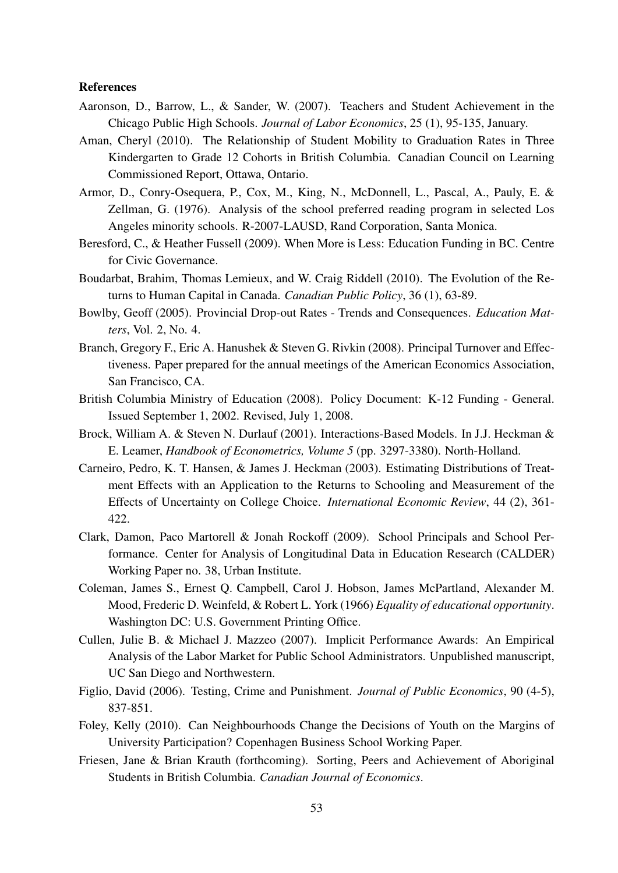#### References

- Aaronson, D., Barrow, L., & Sander, W. (2007). Teachers and Student Achievement in the Chicago Public High Schools. *Journal of Labor Economics*, 25 (1), 95-135, January.
- Aman, Cheryl (2010). The Relationship of Student Mobility to Graduation Rates in Three Kindergarten to Grade 12 Cohorts in British Columbia. Canadian Council on Learning Commissioned Report, Ottawa, Ontario.
- Armor, D., Conry-Osequera, P., Cox, M., King, N., McDonnell, L., Pascal, A., Pauly, E. & Zellman, G. (1976). Analysis of the school preferred reading program in selected Los Angeles minority schools. R-2007-LAUSD, Rand Corporation, Santa Monica.
- Beresford, C., & Heather Fussell (2009). When More is Less: Education Funding in BC. Centre for Civic Governance.
- Boudarbat, Brahim, Thomas Lemieux, and W. Craig Riddell (2010). The Evolution of the Returns to Human Capital in Canada. *Canadian Public Policy*, 36 (1), 63-89.
- Bowlby, Geoff (2005). Provincial Drop-out Rates Trends and Consequences. *Education Matters*, Vol. 2, No. 4.
- Branch, Gregory F., Eric A. Hanushek & Steven G. Rivkin (2008). Principal Turnover and Effectiveness. Paper prepared for the annual meetings of the American Economics Association, San Francisco, CA.
- British Columbia Ministry of Education (2008). Policy Document: K-12 Funding General. Issued September 1, 2002. Revised, July 1, 2008.
- Brock, William A. & Steven N. Durlauf (2001). Interactions-Based Models. In J.J. Heckman & E. Leamer, *Handbook of Econometrics, Volume 5* (pp. 3297-3380). North-Holland.
- Carneiro, Pedro, K. T. Hansen, & James J. Heckman (2003). Estimating Distributions of Treatment Effects with an Application to the Returns to Schooling and Measurement of the Effects of Uncertainty on College Choice. *International Economic Review*, 44 (2), 361- 422.
- Clark, Damon, Paco Martorell & Jonah Rockoff (2009). School Principals and School Performance. Center for Analysis of Longitudinal Data in Education Research (CALDER) Working Paper no. 38, Urban Institute.
- Coleman, James S., Ernest Q. Campbell, Carol J. Hobson, James McPartland, Alexander M. Mood, Frederic D. Weinfeld, & Robert L. York (1966) *Equality of educational opportunity*. Washington DC: U.S. Government Printing Office.
- Cullen, Julie B. & Michael J. Mazzeo (2007). Implicit Performance Awards: An Empirical Analysis of the Labor Market for Public School Administrators. Unpublished manuscript, UC San Diego and Northwestern.
- Figlio, David (2006). Testing, Crime and Punishment. *Journal of Public Economics*, 90 (4-5), 837-851.
- Foley, Kelly (2010). Can Neighbourhoods Change the Decisions of Youth on the Margins of University Participation? Copenhagen Business School Working Paper.
- Friesen, Jane & Brian Krauth (forthcoming). Sorting, Peers and Achievement of Aboriginal Students in British Columbia. *Canadian Journal of Economics*.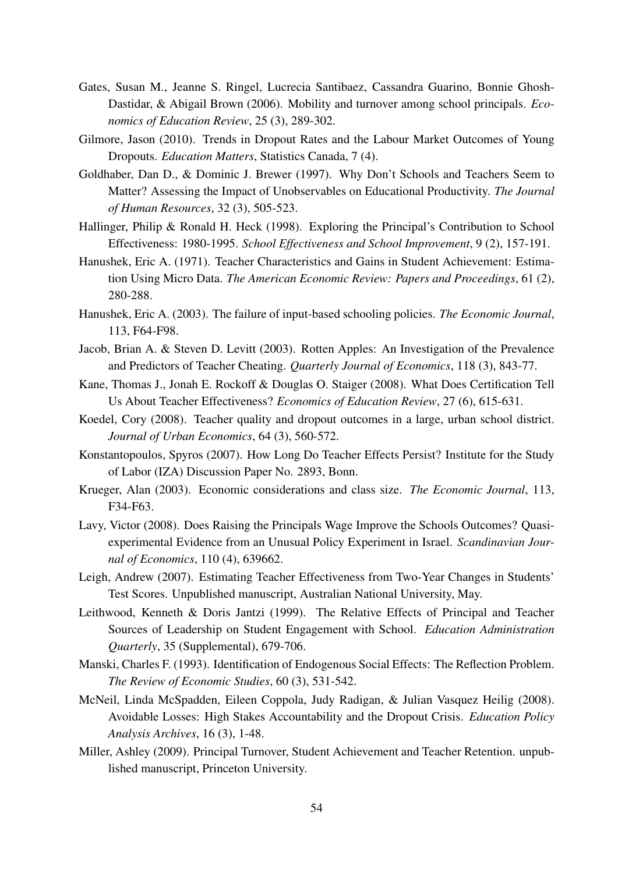- Gates, Susan M., Jeanne S. Ringel, Lucrecia Santibaez, Cassandra Guarino, Bonnie Ghosh-Dastidar, & Abigail Brown (2006). Mobility and turnover among school principals. *Economics of Education Review*, 25 (3), 289-302.
- Gilmore, Jason (2010). Trends in Dropout Rates and the Labour Market Outcomes of Young Dropouts. *Education Matters*, Statistics Canada, 7 (4).
- Goldhaber, Dan D., & Dominic J. Brewer (1997). Why Don't Schools and Teachers Seem to Matter? Assessing the Impact of Unobservables on Educational Productivity. *The Journal of Human Resources*, 32 (3), 505-523.
- Hallinger, Philip & Ronald H. Heck (1998). Exploring the Principal's Contribution to School Effectiveness: 1980-1995. *School Effectiveness and School Improvement*, 9 (2), 157-191.
- Hanushek, Eric A. (1971). Teacher Characteristics and Gains in Student Achievement: Estimation Using Micro Data. *The American Economic Review: Papers and Proceedings*, 61 (2), 280-288.
- Hanushek, Eric A. (2003). The failure of input-based schooling policies. *The Economic Journal*, 113, F64-F98.
- Jacob, Brian A. & Steven D. Levitt (2003). Rotten Apples: An Investigation of the Prevalence and Predictors of Teacher Cheating. *Quarterly Journal of Economics*, 118 (3), 843-77.
- Kane, Thomas J., Jonah E. Rockoff & Douglas O. Staiger (2008). What Does Certification Tell Us About Teacher Effectiveness? *Economics of Education Review*, 27 (6), 615-631.
- Koedel, Cory (2008). Teacher quality and dropout outcomes in a large, urban school district. *Journal of Urban Economics*, 64 (3), 560-572.
- Konstantopoulos, Spyros (2007). How Long Do Teacher Effects Persist? Institute for the Study of Labor (IZA) Discussion Paper No. 2893, Bonn.
- Krueger, Alan (2003). Economic considerations and class size. *The Economic Journal*, 113, F34-F63.
- Lavy, Victor (2008). Does Raising the Principals Wage Improve the Schools Outcomes? Quasiexperimental Evidence from an Unusual Policy Experiment in Israel. *Scandinavian Journal of Economics*, 110 (4), 639662.
- Leigh, Andrew (2007). Estimating Teacher Effectiveness from Two-Year Changes in Students' Test Scores. Unpublished manuscript, Australian National University, May.
- Leithwood, Kenneth & Doris Jantzi (1999). The Relative Effects of Principal and Teacher Sources of Leadership on Student Engagement with School. *Education Administration Quarterly*, 35 (Supplemental), 679-706.
- Manski, Charles F. (1993). Identification of Endogenous Social Effects: The Reflection Problem. *The Review of Economic Studies*, 60 (3), 531-542.
- McNeil, Linda McSpadden, Eileen Coppola, Judy Radigan, & Julian Vasquez Heilig (2008). Avoidable Losses: High Stakes Accountability and the Dropout Crisis. *Education Policy Analysis Archives*, 16 (3), 1-48.
- Miller, Ashley (2009). Principal Turnover, Student Achievement and Teacher Retention. unpublished manuscript, Princeton University.